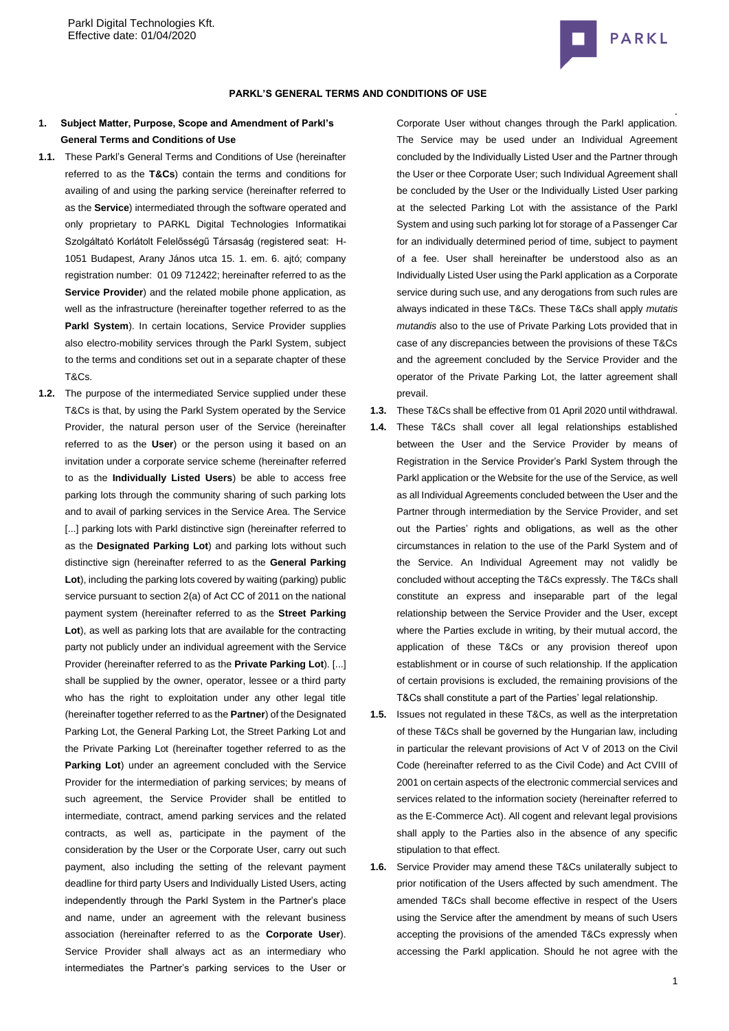

#### **PARKL'S GENERAL TERMS AND CONDITIONS OF USE**

# **1. Subject Matter, Purpose, Scope and Amendment of Parkl's General Terms and Conditions of Use**

- **1.1.** These Parkl's General Terms and Conditions of Use (hereinafter referred to as the **T&Cs**) contain the terms and conditions for availing of and using the parking service (hereinafter referred to as the **Service**) intermediated through the software operated and only proprietary to PARKL Digital Technologies Informatikai Szolgáltató Korlátolt Felelősségű Társaság (registered seat: [H-](http://maps.google.com/maps?q=HU%201051%20Budapest%20Arany%20J%C3%A1nos%20utca%2015.%201.%20em.%206&hl=hu&ie=UTF8)[1051 Budapest, Arany János utca 15. 1. em. 6.](http://maps.google.com/maps?q=HU%201051%20Budapest%20Arany%20J%C3%A1nos%20utca%2015.%201.%20em.%206&hl=hu&ie=UTF8) ajtó; company registration number: 01 09 712422; hereinafter referred to as the **Service Provider**) and the related mobile phone application, as well as the infrastructure (hereinafter together referred to as the Parkl System). In certain locations, Service Provider supplies also electro-mobility services through the Parkl System, subject to the terms and conditions set out in a separate chapter of these T&Cs.
- **1.2.** The purpose of the intermediated Service supplied under these T&Cs is that, by using the Parkl System operated by the Service Provider, the natural person user of the Service (hereinafter referred to as the **User**) or the person using it based on an invitation under a corporate service scheme (hereinafter referred to as the **Individually Listed Users**) be able to access free parking lots through the community sharing of such parking lots and to avail of parking services in the Service Area. The Service [...] parking lots with Parkl distinctive sign (hereinafter referred to as the **Designated Parking Lot**) and parking lots without such distinctive sign (hereinafter referred to as the **General Parking Lot**), including the parking lots covered by waiting (parking) public service pursuant to section 2(a) of Act CC of 2011 on the national payment system (hereinafter referred to as the **Street Parking Lot**), as well as parking lots that are available for the contracting party not publicly under an individual agreement with the Service Provider (hereinafter referred to as the **Private Parking Lot**). [...] shall be supplied by the owner, operator, lessee or a third party who has the right to exploitation under any other legal title (hereinafter together referred to as the **Partner**) of the Designated Parking Lot, the General Parking Lot, the Street Parking Lot and the Private Parking Lot (hereinafter together referred to as the **Parking Lot**) under an agreement concluded with the Service Provider for the intermediation of parking services; by means of such agreement, the Service Provider shall be entitled to intermediate, contract, amend parking services and the related contracts, as well as, participate in the payment of the consideration by the User or the Corporate User, carry out such payment, also including the setting of the relevant payment deadline for third party Users and Individually Listed Users, acting independently through the Parkl System in the Partner's place and name, under an agreement with the relevant business association (hereinafter referred to as the **Corporate User**). Service Provider shall always act as an intermediary who intermediates the Partner's parking services to the User or

Corporate User without changes through the Parkl application. The Service may be used under an Individual Agreement concluded by the Individually Listed User and the Partner through the User or thee Corporate User; such Individual Agreement shall be concluded by the User or the Individually Listed User parking at the selected Parking Lot with the assistance of the Parkl System and using such parking lot for storage of a Passenger Car for an individually determined period of time, subject to payment of a fee. User shall hereinafter be understood also as an Individually Listed User using the Parkl application as a Corporate service during such use, and any derogations from such rules are always indicated in these T&Cs. These T&Cs shall apply *mutatis mutandis* also to the use of Private Parking Lots provided that in case of any discrepancies between the provisions of these T&Cs and the agreement concluded by the Service Provider and the operator of the Private Parking Lot, the latter agreement shall prevail.

- **1.3.** These T&Cs shall be effective from 01 April 2020 until withdrawal.
- **1.4.** These T&Cs shall cover all legal relationships established between the User and the Service Provider by means of Registration in the Service Provider's Parkl System through the Parkl application or the Website for the use of the Service, as well as all Individual Agreements concluded between the User and the Partner through intermediation by the Service Provider, and set out the Parties' rights and obligations, as well as the other circumstances in relation to the use of the Parkl System and of the Service. An Individual Agreement may not validly be concluded without accepting the T&Cs expressly. The T&Cs shall constitute an express and inseparable part of the legal relationship between the Service Provider and the User, except where the Parties exclude in writing, by their mutual accord, the application of these T&Cs or any provision thereof upon establishment or in course of such relationship. If the application of certain provisions is excluded, the remaining provisions of the T&Cs shall constitute a part of the Parties' legal relationship.
- **1.5.** Issues not regulated in these T&Cs, as well as the interpretation of these T&Cs shall be governed by the Hungarian law, including in particular the relevant provisions of Act V of 2013 on the Civil Code (hereinafter referred to as the Civil Code) and Act CVIII of 2001 on certain aspects of the electronic commercial services and services related to the information society (hereinafter referred to as the E-Commerce Act). All cogent and relevant legal provisions shall apply to the Parties also in the absence of any specific stipulation to that effect.
- **1.6.** Service Provider may amend these T&Cs unilaterally subject to prior notification of the Users affected by such amendment. The amended T&Cs shall become effective in respect of the Users using the Service after the amendment by means of such Users accepting the provisions of the amended T&Cs expressly when accessing the Parkl application. Should he not agree with the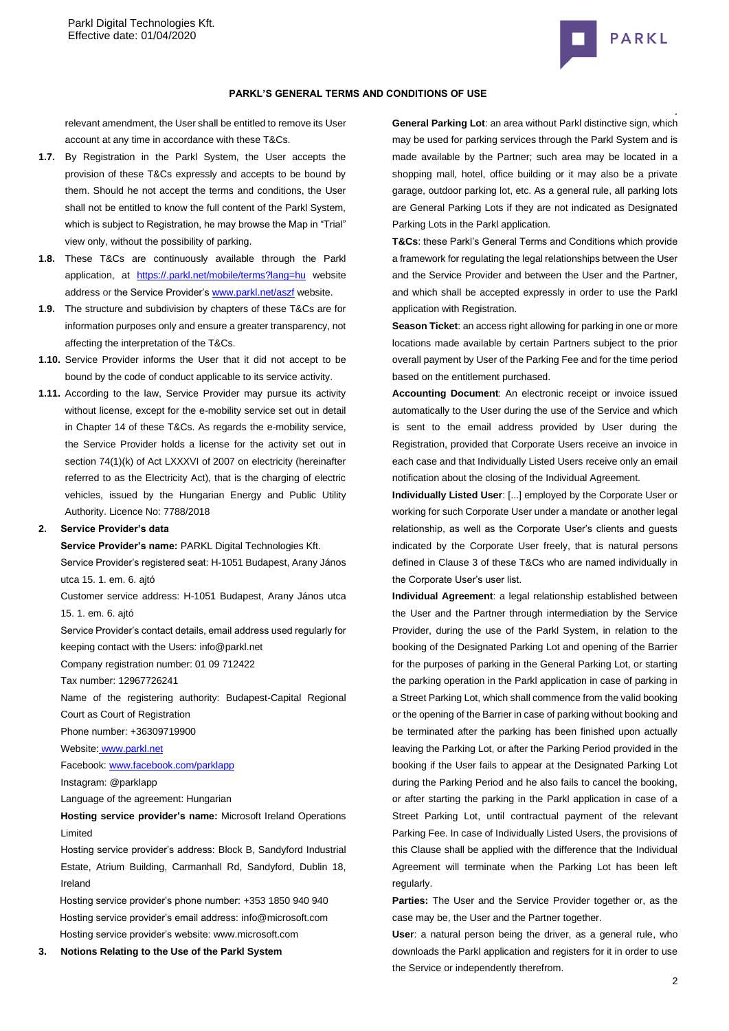

#### **PARKL'S GENERAL TERMS AND CONDITIONS OF USE**

relevant amendment, the User shall be entitled to remove its User account at any time in accordance with these T&Cs.

- **1.7.** By Registration in the Parkl System, the User accepts the provision of these T&Cs expressly and accepts to be bound by them. Should he not accept the terms and conditions, the User shall not be entitled to know the full content of the Parkl System, which is subject to Registration, he may browse the Map in "Trial" view only, without the possibility of parking.
- **1.8.** These T&Cs are continuously available through the Parkl application, at [https://.parkl.net/mobile/terms?lang=hu](https://parkl.net/mobile/terms?lang=hu) website address or the Service Provider'[s www.parkl.net/aszf](http://www.parkl.net/aszf) website.
- **1.9.** The structure and subdivision by chapters of these T&Cs are for information purposes only and ensure a greater transparency, not affecting the interpretation of the T&Cs.
- **1.10.** Service Provider informs the User that it did not accept to be bound by the code of conduct applicable to its service activity.
- **1.11.** According to the law, Service Provider may pursue its activity without license, except for the e-mobility service set out in detail in Chapter 14 of these T&Cs. As regards the e-mobility service, the Service Provider holds a license for the activity set out in section 74(1)(k) of Act LXXXVI of 2007 on electricity (hereinafter referred to as the Electricity Act), that is the charging of electric vehicles, issued by the Hungarian Energy and Public Utility Authority. Licence No: 7788/2018

#### **2. Service Provider's data**

**Service Provider's name:** PARKL Digital Technologies Kft.

Service Provider's registered seat[: H-1051 Budapest, Arany János](http://maps.google.com/maps?q=HU%201051%20Budapest%20Arany%20J%C3%A1nos%20utca%2015.%201.%20em.%206&hl=hu&ie=UTF8)  [utca 15. 1. em. 6.](http://maps.google.com/maps?q=HU%201051%20Budapest%20Arany%20J%C3%A1nos%20utca%2015.%201.%20em.%206&hl=hu&ie=UTF8) ajtó

Customer service address: [H-1051 Budapest, Arany János utca](http://maps.google.com/maps?q=HU%201051%20Budapest%20Arany%20J%C3%A1nos%20utca%2015.%201.%20em.%206&hl=hu&ie=UTF8)  [15. 1. em. 6.](http://maps.google.com/maps?q=HU%201051%20Budapest%20Arany%20J%C3%A1nos%20utca%2015.%201.%20em.%206&hl=hu&ie=UTF8) ajtó

Service Provider's contact details, email address used regularly for keeping contact with the Users: info@parkl.net

Company registration number: 01 09 712422

Tax number: 12967726241

Name of the registering authority: Budapest-Capital Regional Court as Court of Registration

Phone number: +36309719900

Website: [www.parkl.net](http://www.parkl.net/)

Facebook: [www.facebook.com/parklapp](http://www.facebook.com/parklapp)

Instagram: @parklapp

Language of the agreement: Hungarian

**Hosting service provider's name:** Microsoft Ireland Operations Limited

Hosting service provider's address: Block B, Sandyford Industrial Estate, Atrium Building, Carmanhall Rd, Sandyford, Dublin 18, Ireland

Hosting service provider's phone number[: +353 1850 940](tel:+353%201850%20940%20940) 940 Hosting service provider's email address: [info@microsoft.com](mailto:info@microsoft.com) Hosting service provider's website[: www.microsoft.com](http://www.microsoft.com/)

**3. Notions Relating to the Use of the Parkl System**

**General Parking Lot**: an area without Parkl distinctive sign, which may be used for parking services through the Parkl System and is made available by the Partner; such area may be located in a shopping mall, hotel, office building or it may also be a private garage, outdoor parking lot, etc. As a general rule, all parking lots are General Parking Lots if they are not indicated as Designated Parking Lots in the Parkl application.

**T&Cs**: these Parkl's General Terms and Conditions which provide a framework for regulating the legal relationships between the User and the Service Provider and between the User and the Partner, and which shall be accepted expressly in order to use the Parkl application with Registration.

**Season Ticket**: an access right allowing for parking in one or more locations made available by certain Partners subject to the prior overall payment by User of the Parking Fee and for the time period based on the entitlement purchased.

**Accounting Document**: An electronic receipt or invoice issued automatically to the User during the use of the Service and which is sent to the email address provided by User during the Registration, provided that Corporate Users receive an invoice in each case and that Individually Listed Users receive only an email notification about the closing of the Individual Agreement.

**Individually Listed User**: [...] employed by the Corporate User or working for such Corporate User under a mandate or another legal relationship, as well as the Corporate User's clients and guests indicated by the Corporate User freely, that is natural persons defined in Clause 3 of these T&Cs who are named individually in the Corporate User's user list.

**Individual Agreement**: a legal relationship established between the User and the Partner through intermediation by the Service Provider, during the use of the Parkl System, in relation to the booking of the Designated Parking Lot and opening of the Barrier for the purposes of parking in the General Parking Lot, or starting the parking operation in the Parkl application in case of parking in a Street Parking Lot, which shall commence from the valid booking or the opening of the Barrier in case of parking without booking and be terminated after the parking has been finished upon actually leaving the Parking Lot, or after the Parking Period provided in the booking if the User fails to appear at the Designated Parking Lot during the Parking Period and he also fails to cancel the booking, or after starting the parking in the Parkl application in case of a Street Parking Lot, until contractual payment of the relevant Parking Fee. In case of Individually Listed Users, the provisions of this Clause shall be applied with the difference that the Individual Agreement will terminate when the Parking Lot has been left regularly.

**Parties:** The User and the Service Provider together or, as the case may be, the User and the Partner together.

**User**: a natural person being the driver, as a general rule, who downloads the Parkl application and registers for it in order to use the Service or independently therefrom.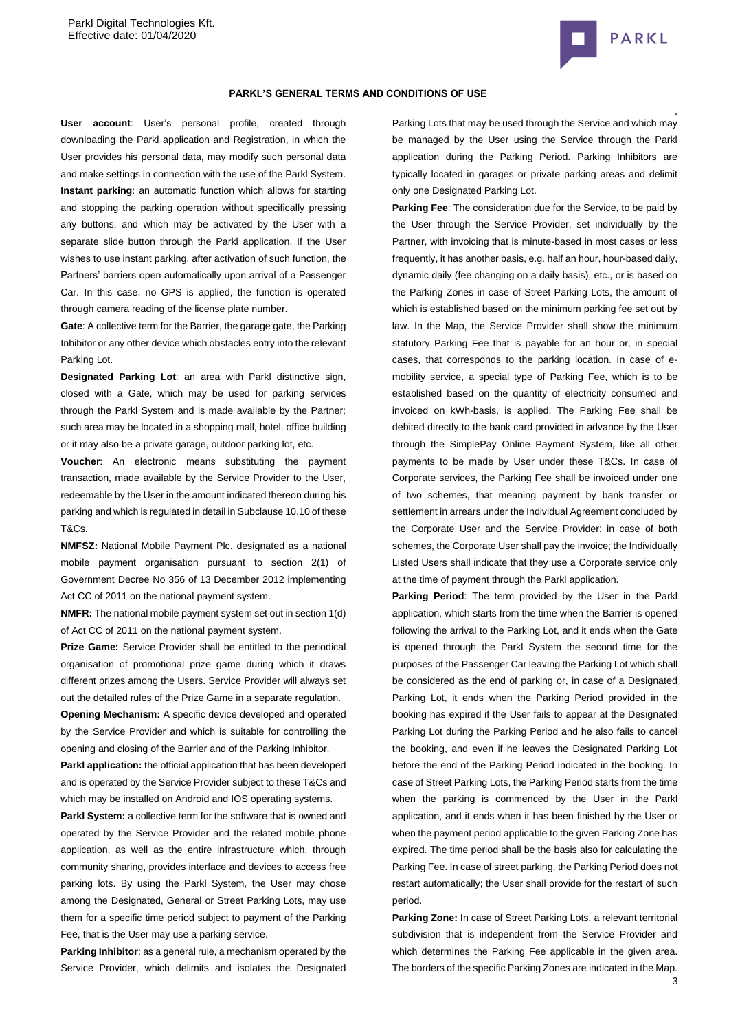

### **PARKL'S GENERAL TERMS AND CONDITIONS OF USE**

**User account**: User's personal profile, created through downloading the Parkl application and Registration, in which the User provides his personal data, may modify such personal data and make settings in connection with the use of the Parkl System. **Instant parking**: an automatic function which allows for starting and stopping the parking operation without specifically pressing any buttons, and which may be activated by the User with a separate slide button through the Parkl application. If the User wishes to use instant parking, after activation of such function, the Partners' barriers open automatically upon arrival of a Passenger Car. In this case, no GPS is applied, the function is operated through camera reading of the license plate number.

**Gate**: A collective term for the Barrier, the garage gate, the Parking Inhibitor or any other device which obstacles entry into the relevant Parking Lot.

**Designated Parking Lot**: an area with Parkl distinctive sign, closed with a Gate, which may be used for parking services through the Parkl System and is made available by the Partner; such area may be located in a shopping mall, hotel, office building or it may also be a private garage, outdoor parking lot, etc.

**Voucher**: An electronic means substituting the payment transaction, made available by the Service Provider to the User, redeemable by the User in the amount indicated thereon during his parking and which is regulated in detail in Subclause 10.10 of these T&Cs.

**NMFSZ:** National Mobile Payment Plc. designated as a national mobile payment organisation pursuant to section 2(1) of Government Decree No 356 of 13 December 2012 implementing Act CC of 2011 on the national payment system.

**NMFR:** The national mobile payment system set out in section 1(d) of Act CC of 2011 on the national payment system.

**Prize Game:** Service Provider shall be entitled to the periodical organisation of promotional prize game during which it draws different prizes among the Users. Service Provider will always set out the detailed rules of the Prize Game in a separate regulation.

**Opening Mechanism:** A specific device developed and operated by the Service Provider and which is suitable for controlling the opening and closing of the Barrier and of the Parking Inhibitor.

**Parkl application:** the official application that has been developed and is operated by the Service Provider subject to these T&Cs and which may be installed on Android and IOS operating systems.

Parkl System: a collective term for the software that is owned and operated by the Service Provider and the related mobile phone application, as well as the entire infrastructure which, through community sharing, provides interface and devices to access free parking lots. By using the Parkl System, the User may chose among the Designated, General or Street Parking Lots, may use them for a specific time period subject to payment of the Parking Fee, that is the User may use a parking service.

**Parking Inhibitor**: as a general rule, a mechanism operated by the Service Provider, which delimits and isolates the Designated Parking Lots that may be used through the Service and which may be managed by the User using the Service through the Parkl application during the Parking Period. Parking Inhibitors are typically located in garages or private parking areas and delimit only one Designated Parking Lot.

**Parking Fee**: The consideration due for the Service, to be paid by the User through the Service Provider, set individually by the Partner, with invoicing that is minute-based in most cases or less frequently, it has another basis, e.g. half an hour, hour-based daily, dynamic daily (fee changing on a daily basis), etc., or is based on the Parking Zones in case of Street Parking Lots, the amount of which is established based on the minimum parking fee set out by law. In the Map, the Service Provider shall show the minimum statutory Parking Fee that is payable for an hour or, in special cases, that corresponds to the parking location. In case of emobility service, a special type of Parking Fee, which is to be established based on the quantity of electricity consumed and invoiced on kWh-basis, is applied. The Parking Fee shall be debited directly to the bank card provided in advance by the User through the SimplePay Online Payment System, like all other payments to be made by User under these T&Cs. In case of Corporate services, the Parking Fee shall be invoiced under one of two schemes, that meaning payment by bank transfer or settlement in arrears under the Individual Agreement concluded by the Corporate User and the Service Provider; in case of both schemes, the Corporate User shall pay the invoice; the Individually Listed Users shall indicate that they use a Corporate service only at the time of payment through the Parkl application.

**Parking Period**: The term provided by the User in the Parkl application, which starts from the time when the Barrier is opened following the arrival to the Parking Lot, and it ends when the Gate is opened through the Parkl System the second time for the purposes of the Passenger Car leaving the Parking Lot which shall be considered as the end of parking or, in case of a Designated Parking Lot, it ends when the Parking Period provided in the booking has expired if the User fails to appear at the Designated Parking Lot during the Parking Period and he also fails to cancel the booking, and even if he leaves the Designated Parking Lot before the end of the Parking Period indicated in the booking. In case of Street Parking Lots, the Parking Period starts from the time when the parking is commenced by the User in the Parkl application, and it ends when it has been finished by the User or when the payment period applicable to the given Parking Zone has expired. The time period shall be the basis also for calculating the Parking Fee. In case of street parking, the Parking Period does not restart automatically; the User shall provide for the restart of such period.

**Parking Zone:** In case of Street Parking Lots, a relevant territorial subdivision that is independent from the Service Provider and which determines the Parking Fee applicable in the given area. The borders of the specific Parking Zones are indicated in the Map.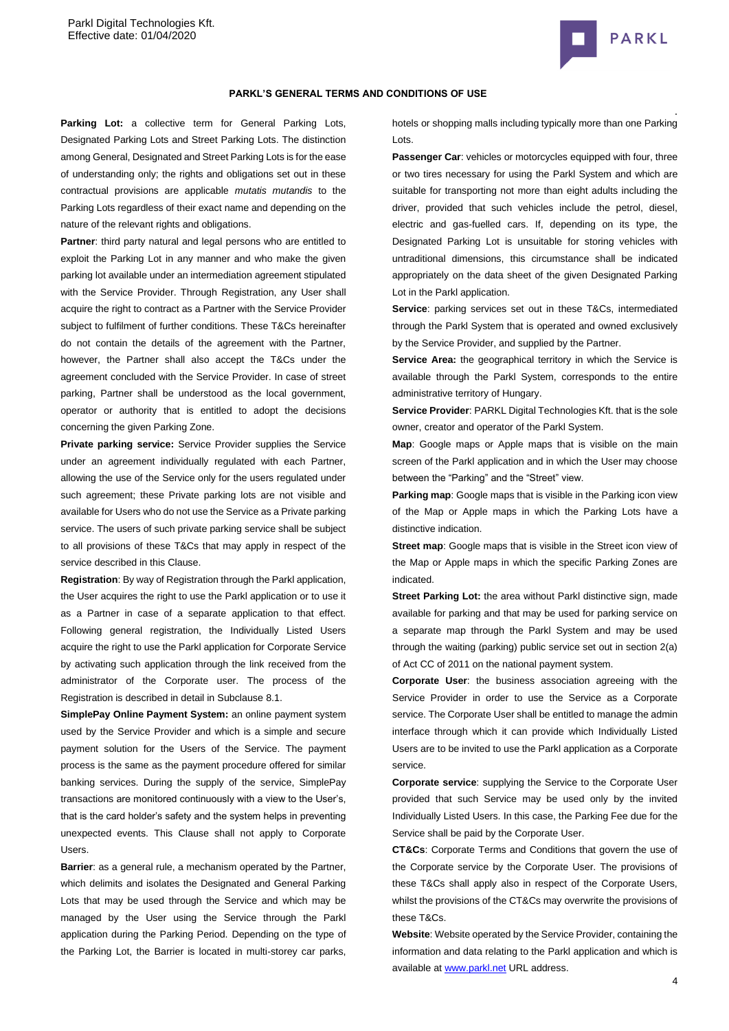

### **PARKL'S GENERAL TERMS AND CONDITIONS OF USE**

Parking Lot: a collective term for General Parking Lots, Designated Parking Lots and Street Parking Lots. The distinction among General, Designated and Street Parking Lots is for the ease of understanding only; the rights and obligations set out in these contractual provisions are applicable *mutatis mutandis* to the Parking Lots regardless of their exact name and depending on the nature of the relevant rights and obligations.

Partner: third party natural and legal persons who are entitled to exploit the Parking Lot in any manner and who make the given parking lot available under an intermediation agreement stipulated with the Service Provider. Through Registration, any User shall acquire the right to contract as a Partner with the Service Provider subject to fulfilment of further conditions. These T&Cs hereinafter do not contain the details of the agreement with the Partner, however, the Partner shall also accept the T&Cs under the agreement concluded with the Service Provider. In case of street parking, Partner shall be understood as the local government, operator or authority that is entitled to adopt the decisions concerning the given Parking Zone.

**Private parking service:** Service Provider supplies the Service under an agreement individually regulated with each Partner, allowing the use of the Service only for the users regulated under such agreement; these Private parking lots are not visible and available for Users who do not use the Service as a Private parking service. The users of such private parking service shall be subject to all provisions of these T&Cs that may apply in respect of the service described in this Clause.

**Registration**: By way of Registration through the Parkl application, the User acquires the right to use the Parkl application or to use it as a Partner in case of a separate application to that effect. Following general registration, the Individually Listed Users acquire the right to use the Parkl application for Corporate Service by activating such application through the link received from the administrator of the Corporate user. The process of the Registration is described in detail in Subclaus[e 8.1.](#page-6-0)

**SimplePay Online Payment System:** an online payment system used by the Service Provider and which is a simple and secure payment solution for the Users of the Service. The payment process is the same as the payment procedure offered for similar banking services. During the supply of the service, SimplePay transactions are monitored continuously with a view to the User's, that is the card holder's safety and the system helps in preventing unexpected events. This Clause shall not apply to Corporate Users.

**Barrier**: as a general rule, a mechanism operated by the Partner, which delimits and isolates the Designated and General Parking Lots that may be used through the Service and which may be managed by the User using the Service through the Parkl application during the Parking Period. Depending on the type of the Parking Lot, the Barrier is located in multi-storey car parks,

hotels or shopping malls including typically more than one Parking Lots.

**Passenger Car: vehicles or motorcycles equipped with four, three** or two tires necessary for using the Parkl System and which are suitable for transporting not more than eight adults including the driver, provided that such vehicles include the petrol, diesel, electric and gas-fuelled cars. If, depending on its type, the Designated Parking Lot is unsuitable for storing vehicles with untraditional dimensions, this circumstance shall be indicated appropriately on the data sheet of the given Designated Parking Lot in the Parkl application.

**Service**: parking services set out in these T&Cs, intermediated through the Parkl System that is operated and owned exclusively by the Service Provider, and supplied by the Partner.

**Service Area:** the geographical territory in which the Service is available through the Parkl System, corresponds to the entire administrative territory of Hungary.

**Service Provider**: PARKL Digital Technologies Kft. that is the sole owner, creator and operator of the Parkl System.

**Map**: Google maps or Apple maps that is visible on the main screen of the Parkl application and in which the User may choose between the "Parking" and the "Street" view.

**Parking map**: Google maps that is visible in the Parking icon view of the Map or Apple maps in which the Parking Lots have a distinctive indication.

**Street map:** Google maps that is visible in the Street icon view of the Map or Apple maps in which the specific Parking Zones are indicated.

**Street Parking Lot:** the area without Parkl distinctive sign, made available for parking and that may be used for parking service on a separate map through the Parkl System and may be used through the waiting (parking) public service set out in section 2(a) of Act CC of 2011 on the national payment system.

**Corporate User**: the business association agreeing with the Service Provider in order to use the Service as a Corporate service. The Corporate User shall be entitled to manage the admin interface through which it can provide which Individually Listed Users are to be invited to use the Parkl application as a Corporate service.

**Corporate service**: supplying the Service to the Corporate User provided that such Service may be used only by the invited Individually Listed Users. In this case, the Parking Fee due for the Service shall be paid by the Corporate User.

**CT&Cs**: Corporate Terms and Conditions that govern the use of the Corporate service by the Corporate User. The provisions of these T&Cs shall apply also in respect of the Corporate Users, whilst the provisions of the CT&Cs may overwrite the provisions of these T&Cs.

**Website**: Website operated by the Service Provider, containing the information and data relating to the Parkl application and which is available at [www.parkl.net](http://www.parkl.net/) URL address.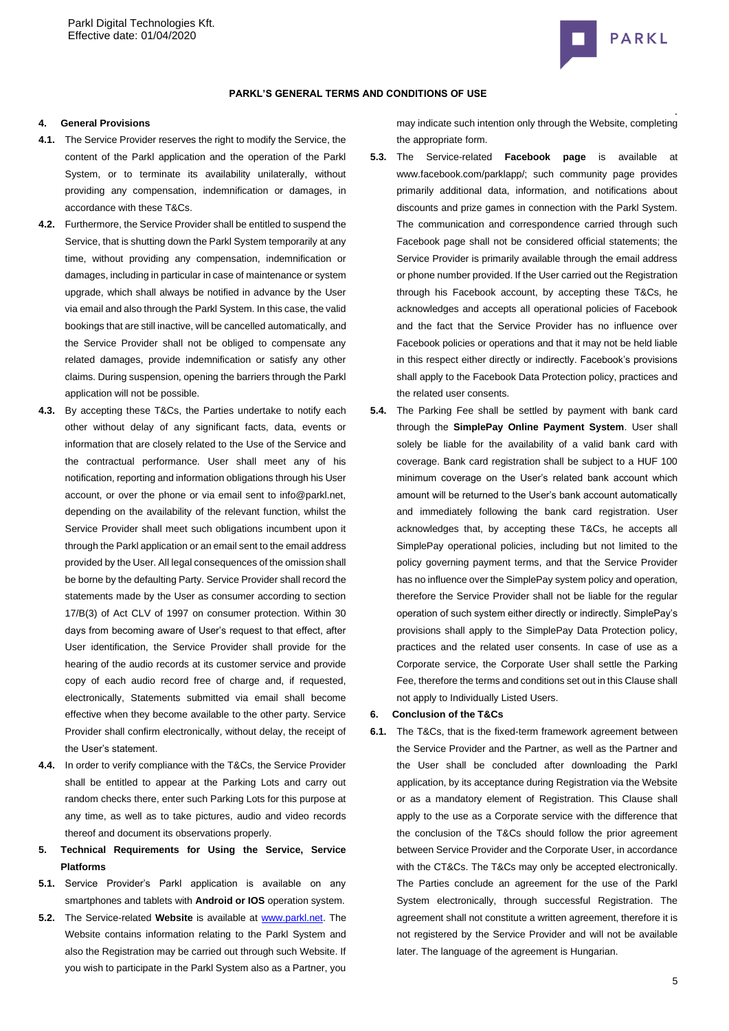

### **PARKL'S GENERAL TERMS AND CONDITIONS OF USE**

#### **4. General Provisions**

- **4.1.** The Service Provider reserves the right to modify the Service, the content of the Parkl application and the operation of the Parkl System, or to terminate its availability unilaterally, without providing any compensation, indemnification or damages, in accordance with these T&Cs.
- **4.2.** Furthermore, the Service Provider shall be entitled to suspend the Service, that is shutting down the Parkl System temporarily at any time, without providing any compensation, indemnification or damages, including in particular in case of maintenance or system upgrade, which shall always be notified in advance by the User via email and also through the Parkl System. In this case, the valid bookings that are still inactive, will be cancelled automatically, and the Service Provider shall not be obliged to compensate any related damages, provide indemnification or satisfy any other claims. During suspension, opening the barriers through the Parkl application will not be possible.
- **4.3.** By accepting these T&Cs, the Parties undertake to notify each other without delay of any significant facts, data, events or information that are closely related to the Use of the Service and the contractual performance. User shall meet any of his notification, reporting and information obligations through his User account, or over the phone or via email sent to info@parkl.net, depending on the availability of the relevant function, whilst the Service Provider shall meet such obligations incumbent upon it through the Parkl application or an email sent to the email address provided by the User. All legal consequences of the omission shall be borne by the defaulting Party. Service Provider shall record the statements made by the User as consumer according to section 17/B(3) of Act CLV of 1997 on consumer protection. Within 30 days from becoming aware of User's request to that effect, after User identification, the Service Provider shall provide for the hearing of the audio records at its customer service and provide copy of each audio record free of charge and, if requested, electronically, Statements submitted via email shall become effective when they become available to the other party. Service Provider shall confirm electronically, without delay, the receipt of the User's statement.
- **4.4.** In order to verify compliance with the T&Cs, the Service Provider shall be entitled to appear at the Parking Lots and carry out random checks there, enter such Parking Lots for this purpose at any time, as well as to take pictures, audio and video records thereof and document its observations properly.
- **5. Technical Requirements for Using the Service, Service Platforms**
- **5.1.** Service Provider's Parkl application is available on any smartphones and tablets with **Android or IOS** operation system.
- **5.2.** The Service-related **Website** is available at [www.parkl.net.](http://www.parkl.net/) The Website contains information relating to the Parkl System and also the Registration may be carried out through such Website. If you wish to participate in the Parkl System also as a Partner, you

may indicate such intention only through the Website, completing the appropriate form.

- **5.3.** The Service-related **Facebook page** is available at www.facebook.com/parklapp/; such community page provides primarily additional data, information, and notifications about discounts and prize games in connection with the Parkl System. The communication and correspondence carried through such Facebook page shall not be considered official statements; the Service Provider is primarily available through the email address or phone number provided. If the User carried out the Registration through his Facebook account, by accepting these T&Cs, he acknowledges and accepts all operational policies of Facebook and the fact that the Service Provider has no influence over Facebook policies or operations and that it may not be held liable in this respect either directly or indirectly. Facebook's provisions shall apply to the Facebook Data Protection policy, practices and the related user consents.
- **5.4.** The Parking Fee shall be settled by payment with bank card through the **SimplePay Online Payment System**. User shall solely be liable for the availability of a valid bank card with coverage. Bank card registration shall be subject to a HUF 100 minimum coverage on the User's related bank account which amount will be returned to the User's bank account automatically and immediately following the bank card registration. User acknowledges that, by accepting these T&Cs, he accepts all SimplePay operational policies, including but not limited to the policy governing payment terms, and that the Service Provider has no influence over the SimplePay system policy and operation, therefore the Service Provider shall not be liable for the regular operation of such system either directly or indirectly. SimplePay's provisions shall apply to the SimplePay Data Protection policy, practices and the related user consents. In case of use as a Corporate service, the Corporate User shall settle the Parking Fee, therefore the terms and conditions set out in this Clause shall not apply to Individually Listed Users.

# **6. Conclusion of the T&Cs**

**6.1.** The T&Cs, that is the fixed-term framework agreement between the Service Provider and the Partner, as well as the Partner and the User shall be concluded after downloading the Parkl application, by its acceptance during Registration via the Website or as a mandatory element of Registration. This Clause shall apply to the use as a Corporate service with the difference that the conclusion of the T&Cs should follow the prior agreement between Service Provider and the Corporate User, in accordance with the CT&Cs. The T&Cs may only be accepted electronically. The Parties conclude an agreement for the use of the Parkl System electronically, through successful Registration. The agreement shall not constitute a written agreement, therefore it is not registered by the Service Provider and will not be available later. The language of the agreement is Hungarian.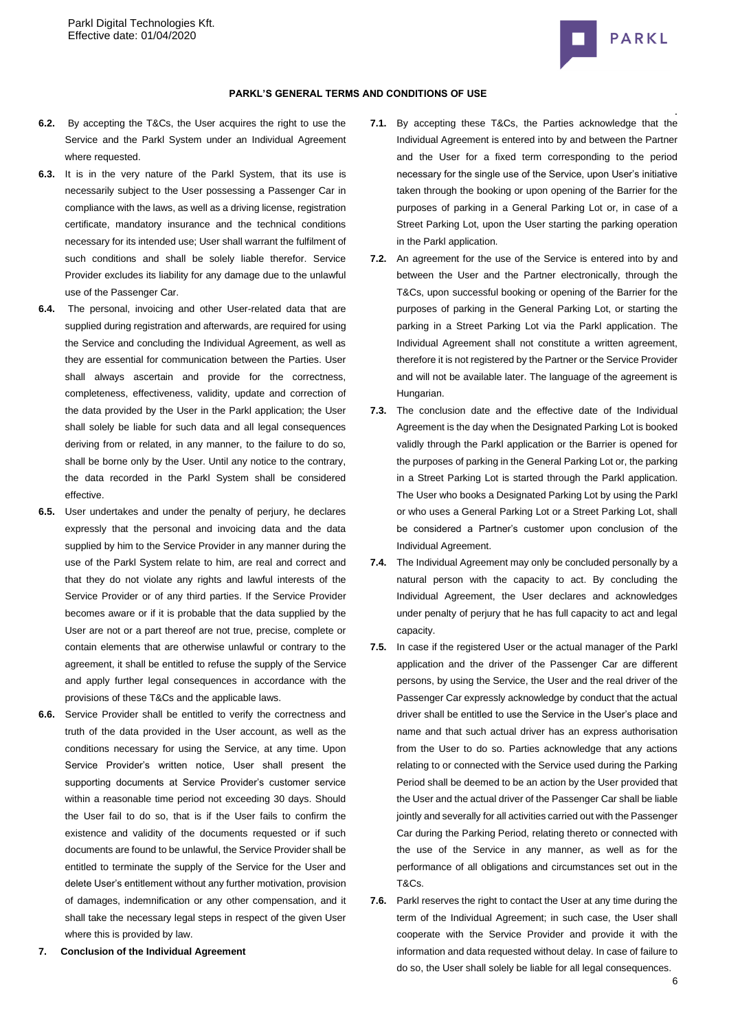

- **6.2.** By accepting the T&Cs, the User acquires the right to use the Service and the Parkl System under an Individual Agreement where requested.
- **6.3.** It is in the very nature of the Parkl System, that its use is necessarily subject to the User possessing a Passenger Car in compliance with the laws, as well as a driving license, registration certificate, mandatory insurance and the technical conditions necessary for its intended use; User shall warrant the fulfilment of such conditions and shall be solely liable therefor. Service Provider excludes its liability for any damage due to the unlawful use of the Passenger Car.
- **6.4.** The personal, invoicing and other User-related data that are supplied during registration and afterwards, are required for using the Service and concluding the Individual Agreement, as well as they are essential for communication between the Parties. User shall always ascertain and provide for the correctness, completeness, effectiveness, validity, update and correction of the data provided by the User in the Parkl application; the User shall solely be liable for such data and all legal consequences deriving from or related, in any manner, to the failure to do so, shall be borne only by the User. Until any notice to the contrary, the data recorded in the Parkl System shall be considered effective.
- **6.5.** User undertakes and under the penalty of perjury, he declares expressly that the personal and invoicing data and the data supplied by him to the Service Provider in any manner during the use of the Parkl System relate to him, are real and correct and that they do not violate any rights and lawful interests of the Service Provider or of any third parties. If the Service Provider becomes aware or if it is probable that the data supplied by the User are not or a part thereof are not true, precise, complete or contain elements that are otherwise unlawful or contrary to the agreement, it shall be entitled to refuse the supply of the Service and apply further legal consequences in accordance with the provisions of these T&Cs and the applicable laws.
- **6.6.** Service Provider shall be entitled to verify the correctness and truth of the data provided in the User account, as well as the conditions necessary for using the Service, at any time. Upon Service Provider's written notice, User shall present the supporting documents at Service Provider's customer service within a reasonable time period not exceeding 30 days. Should the User fail to do so, that is if the User fails to confirm the existence and validity of the documents requested or if such documents are found to be unlawful, the Service Provider shall be entitled to terminate the supply of the Service for the User and delete User's entitlement without any further motivation, provision of damages, indemnification or any other compensation, and it shall take the necessary legal steps in respect of the given User where this is provided by law.
- **7. Conclusion of the Individual Agreement**
- . **7.1.** By accepting these T&Cs, the Parties acknowledge that the Individual Agreement is entered into by and between the Partner and the User for a fixed term corresponding to the period necessary for the single use of the Service, upon User's initiative taken through the booking or upon opening of the Barrier for the purposes of parking in a General Parking Lot or, in case of a Street Parking Lot, upon the User starting the parking operation in the Parkl application.
- **7.2.** An agreement for the use of the Service is entered into by and between the User and the Partner electronically, through the T&Cs, upon successful booking or opening of the Barrier for the purposes of parking in the General Parking Lot, or starting the parking in a Street Parking Lot via the Parkl application. The Individual Agreement shall not constitute a written agreement, therefore it is not registered by the Partner or the Service Provider and will not be available later. The language of the agreement is Hungarian.
- **7.3.** The conclusion date and the effective date of the Individual Agreement is the day when the Designated Parking Lot is booked validly through the Parkl application or the Barrier is opened for the purposes of parking in the General Parking Lot or, the parking in a Street Parking Lot is started through the Parkl application. The User who books a Designated Parking Lot by using the Parkl or who uses a General Parking Lot or a Street Parking Lot, shall be considered a Partner's customer upon conclusion of the Individual Agreement.
- **7.4.** The Individual Agreement may only be concluded personally by a natural person with the capacity to act. By concluding the Individual Agreement, the User declares and acknowledges under penalty of perjury that he has full capacity to act and legal capacity.
- **7.5.** In case if the registered User or the actual manager of the Parkl application and the driver of the Passenger Car are different persons, by using the Service, the User and the real driver of the Passenger Car expressly acknowledge by conduct that the actual driver shall be entitled to use the Service in the User's place and name and that such actual driver has an express authorisation from the User to do so. Parties acknowledge that any actions relating to or connected with the Service used during the Parking Period shall be deemed to be an action by the User provided that the User and the actual driver of the Passenger Car shall be liable jointly and severally for all activities carried out with the Passenger Car during the Parking Period, relating thereto or connected with the use of the Service in any manner, as well as for the performance of all obligations and circumstances set out in the T&Cs.
- **7.6.** Parkl reserves the right to contact the User at any time during the term of the Individual Agreement; in such case, the User shall cooperate with the Service Provider and provide it with the information and data requested without delay. In case of failure to do so, the User shall solely be liable for all legal consequences.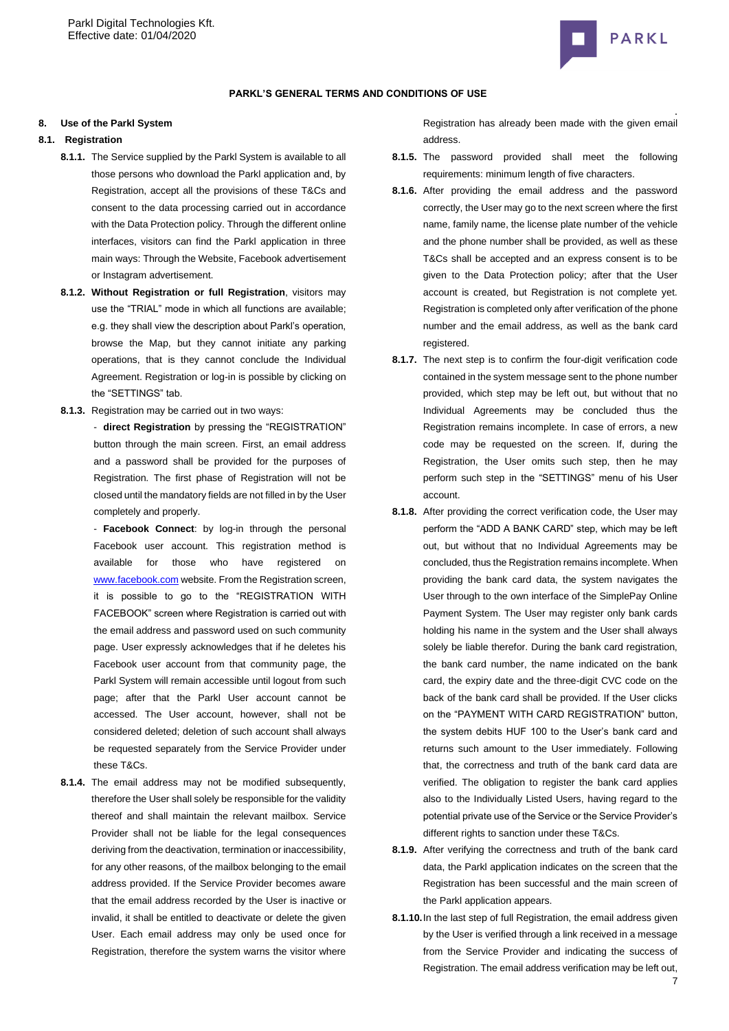

## **PARKL'S GENERAL TERMS AND CONDITIONS OF USE**

#### **8. Use of the Parkl System**

## <span id="page-6-0"></span>**8.1. Registration**

- **8.1.1.** The Service supplied by the Parkl System is available to all those persons who download the Parkl application and, by Registration, accept all the provisions of these T&Cs and consent to the data processing carried out in accordance with the Data Protection policy. Through the different online interfaces, visitors can find the Parkl application in three main ways: Through the Website, Facebook advertisement or Instagram advertisement.
- **8.1.2. Without Registration or full Registration**, visitors may use the "TRIAL" mode in which all functions are available; e.g. they shall view the description about Parkl's operation, browse the Map, but they cannot initiate any parking operations, that is they cannot conclude the Individual Agreement. Registration or log-in is possible by clicking on the "SETTINGS" tab.
- **8.1.3.** Registration may be carried out in two ways:
	- **direct Registration** by pressing the "REGISTRATION" button through the main screen. First, an email address and a password shall be provided for the purposes of Registration. The first phase of Registration will not be closed until the mandatory fields are not filled in by the User completely and properly.

- **Facebook Connect**: by log-in through the personal Facebook user account. This registration method is available for those who have registered on [www.facebook.com](http://www.facebook.com/) website. From the Registration screen, it is possible to go to the "REGISTRATION WITH FACEBOOK" screen where Registration is carried out with the email address and password used on such community page. User expressly acknowledges that if he deletes his Facebook user account from that community page, the Parkl System will remain accessible until logout from such page; after that the Parkl User account cannot be accessed. The User account, however, shall not be considered deleted; deletion of such account shall always be requested separately from the Service Provider under these T&Cs.

**8.1.4.** The email address may not be modified subsequently, therefore the User shall solely be responsible for the validity thereof and shall maintain the relevant mailbox. Service Provider shall not be liable for the legal consequences deriving from the deactivation, termination or inaccessibility, for any other reasons, of the mailbox belonging to the email address provided. If the Service Provider becomes aware that the email address recorded by the User is inactive or invalid, it shall be entitled to deactivate or delete the given User. Each email address may only be used once for Registration, therefore the system warns the visitor where

Registration has already been made with the given email address.

- **8.1.5.** The password provided shall meet the following requirements: minimum length of five characters.
- **8.1.6.** After providing the email address and the password correctly, the User may go to the next screen where the first name, family name, the license plate number of the vehicle and the phone number shall be provided, as well as these T&Cs shall be accepted and an express consent is to be given to the Data Protection policy; after that the User account is created, but Registration is not complete yet. Registration is completed only after verification of the phone number and the email address, as well as the bank card registered.
- **8.1.7.** The next step is to confirm the four-digit verification code contained in the system message sent to the phone number provided, which step may be left out, but without that no Individual Agreements may be concluded thus the Registration remains incomplete. In case of errors, a new code may be requested on the screen. If, during the Registration, the User omits such step, then he may perform such step in the "SETTINGS" menu of his User account.
- **8.1.8.** After providing the correct verification code, the User may perform the "ADD A BANK CARD" step, which may be left out, but without that no Individual Agreements may be concluded, thus the Registration remains incomplete. When providing the bank card data, the system navigates the User through to the own interface of the SimplePay Online Payment System. The User may register only bank cards holding his name in the system and the User shall always solely be liable therefor. During the bank card registration, the bank card number, the name indicated on the bank card, the expiry date and the three-digit CVC code on the back of the bank card shall be provided. If the User clicks on the "PAYMENT WITH CARD REGISTRATION" button, the system debits HUF 100 to the User's bank card and returns such amount to the User immediately. Following that, the correctness and truth of the bank card data are verified. The obligation to register the bank card applies also to the Individually Listed Users, having regard to the potential private use of the Service or the Service Provider's different rights to sanction under these T&Cs.
- **8.1.9.** After verifying the correctness and truth of the bank card data, the Parkl application indicates on the screen that the Registration has been successful and the main screen of the Parkl application appears.
- **8.1.10.**In the last step of full Registration, the email address given by the User is verified through a link received in a message from the Service Provider and indicating the success of Registration. The email address verification may be left out,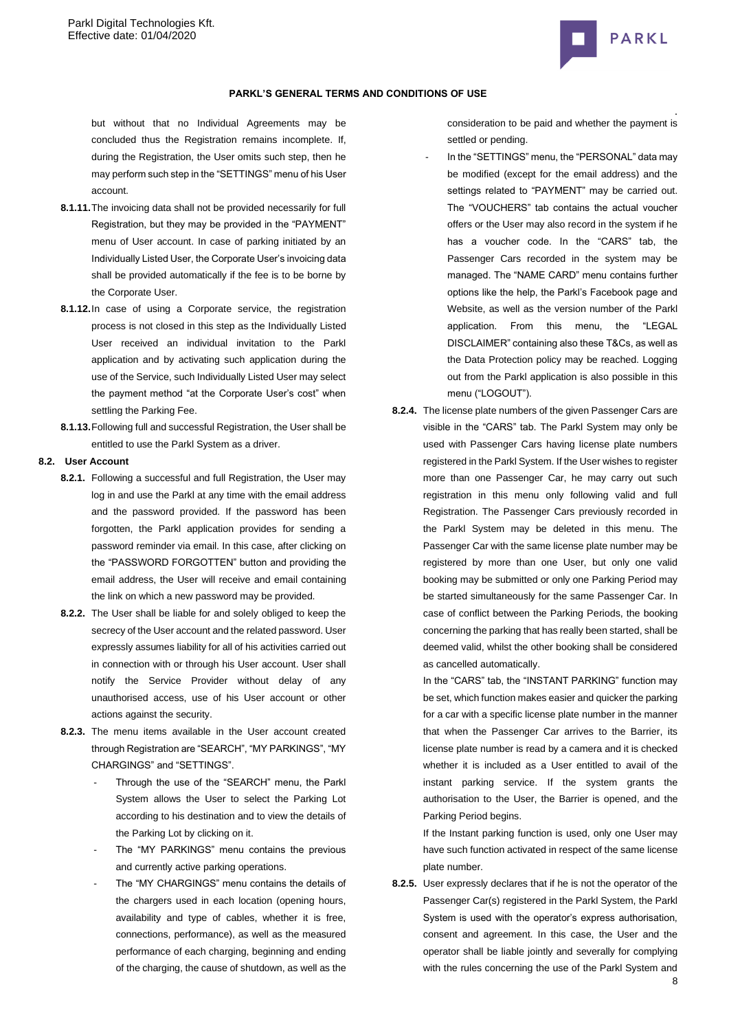

but without that no Individual Agreements may be concluded thus the Registration remains incomplete. If, during the Registration, the User omits such step, then he may perform such step in the "SETTINGS" menu of his User account.

- **8.1.11.**The invoicing data shall not be provided necessarily for full Registration, but they may be provided in the "PAYMENT" menu of User account. In case of parking initiated by an Individually Listed User, the Corporate User's invoicing data shall be provided automatically if the fee is to be borne by the Corporate User.
- **8.1.12.**In case of using a Corporate service, the registration process is not closed in this step as the Individually Listed User received an individual invitation to the Parkl application and by activating such application during the use of the Service, such Individually Listed User may select the payment method "at the Corporate User's cost" when settling the Parking Fee.
- **8.1.13.**Following full and successful Registration, the User shall be entitled to use the Parkl System as a driver.

# **8.2. User Account**

- **8.2.1.** Following a successful and full Registration, the User may log in and use the Parkl at any time with the email address and the password provided. If the password has been forgotten, the Parkl application provides for sending a password reminder via email. In this case, after clicking on the "PASSWORD FORGOTTEN" button and providing the email address, the User will receive and email containing the link on which a new password may be provided.
- **8.2.2.** The User shall be liable for and solely obliged to keep the secrecy of the User account and the related password. User expressly assumes liability for all of his activities carried out in connection with or through his User account. User shall notify the Service Provider without delay of any unauthorised access, use of his User account or other actions against the security.
- **8.2.3.** The menu items available in the User account created through Registration are "SEARCH", "MY PARKINGS", "MY CHARGINGS" and "SETTINGS".
	- Through the use of the "SEARCH" menu, the Parkl System allows the User to select the Parking Lot according to his destination and to view the details of the Parking Lot by clicking on it.
	- The "MY PARKINGS" menu contains the previous and currently active parking operations.
	- The "MY CHARGINGS" menu contains the details of the chargers used in each location (opening hours, availability and type of cables, whether it is free, connections, performance), as well as the measured performance of each charging, beginning and ending of the charging, the cause of shutdown, as well as the

. consideration to be paid and whether the payment is settled or pending.

- In the "SETTINGS" menu, the "PERSONAL" data may be modified (except for the email address) and the settings related to "PAYMENT" may be carried out. The "VOUCHERS" tab contains the actual voucher offers or the User may also record in the system if he has a voucher code. In the "CARS" tab, the Passenger Cars recorded in the system may be managed. The "NAME CARD" menu contains further options like the help, the Parkl's Facebook page and Website, as well as the version number of the Parkl application. From this menu, the "LEGAL DISCLAIMER" containing also these T&Cs, as well as the Data Protection policy may be reached. Logging out from the Parkl application is also possible in this menu ("LOGOUT").
- **8.2.4.** The license plate numbers of the given Passenger Cars are visible in the "CARS" tab. The Parkl System may only be used with Passenger Cars having license plate numbers registered in the Parkl System. If the User wishes to register more than one Passenger Car, he may carry out such registration in this menu only following valid and full Registration. The Passenger Cars previously recorded in the Parkl System may be deleted in this menu. The Passenger Car with the same license plate number may be registered by more than one User, but only one valid booking may be submitted or only one Parking Period may be started simultaneously for the same Passenger Car. In case of conflict between the Parking Periods, the booking concerning the parking that has really been started, shall be deemed valid, whilst the other booking shall be considered as cancelled automatically.

In the "CARS" tab, the "INSTANT PARKING" function may be set, which function makes easier and quicker the parking for a car with a specific license plate number in the manner that when the Passenger Car arrives to the Barrier, its license plate number is read by a camera and it is checked whether it is included as a User entitled to avail of the instant parking service. If the system grants the authorisation to the User, the Barrier is opened, and the Parking Period begins.

If the Instant parking function is used, only one User may have such function activated in respect of the same license plate number.

**8.2.5.** User expressly declares that if he is not the operator of the Passenger Car(s) registered in the Parkl System, the Parkl System is used with the operator's express authorisation, consent and agreement. In this case, the User and the operator shall be liable jointly and severally for complying with the rules concerning the use of the Parkl System and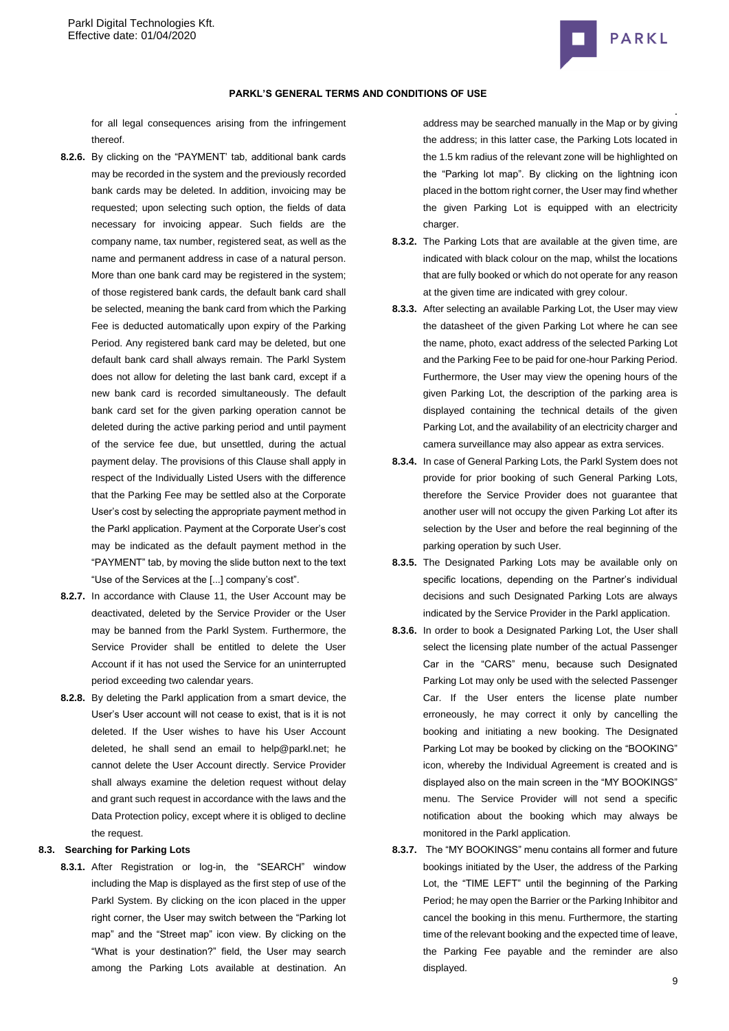

## **PARKL'S GENERAL TERMS AND CONDITIONS OF USE**

for all legal consequences arising from the infringement thereof.

- **8.2.6.** By clicking on the "PAYMENT' tab, additional bank cards may be recorded in the system and the previously recorded bank cards may be deleted. In addition, invoicing may be requested; upon selecting such option, the fields of data necessary for invoicing appear. Such fields are the company name, tax number, registered seat, as well as the name and permanent address in case of a natural person. More than one bank card may be registered in the system; of those registered bank cards, the default bank card shall be selected, meaning the bank card from which the Parking Fee is deducted automatically upon expiry of the Parking Period. Any registered bank card may be deleted, but one default bank card shall always remain. The Parkl System does not allow for deleting the last bank card, except if a new bank card is recorded simultaneously. The default bank card set for the given parking operation cannot be deleted during the active parking period and until payment of the service fee due, but unsettled, during the actual payment delay. The provisions of this Clause shall apply in respect of the Individually Listed Users with the difference that the Parking Fee may be settled also at the Corporate User's cost by selecting the appropriate payment method in the Parkl application. Payment at the Corporate User's cost may be indicated as the default payment method in the "PAYMENT" tab, by moving the slide button next to the text "Use of the Services at the [...] company's cost".
- **8.2.7.** In accordance with Clause 11, the User Account may be deactivated, deleted by the Service Provider or the User may be banned from the Parkl System. Furthermore, the Service Provider shall be entitled to delete the User Account if it has not used the Service for an uninterrupted period exceeding two calendar years.
- **8.2.8.** By deleting the Parkl application from a smart device, the User's User account will not cease to exist, that is it is not deleted. If the User wishes to have his User Account deleted, he shall send an email to help@parkl.net; he cannot delete the User Account directly. Service Provider shall always examine the deletion request without delay and grant such request in accordance with the laws and the Data Protection policy, except where it is obliged to decline the request.

# **8.3. Searching for Parking Lots**

**8.3.1.** After Registration or log-in, the "SEARCH" window including the Map is displayed as the first step of use of the Parkl System. By clicking on the icon placed in the upper right corner, the User may switch between the "Parking lot map" and the "Street map" icon view. By clicking on the "What is your destination?" field, the User may search among the Parking Lots available at destination. An address may be searched manually in the Map or by giving the address; in this latter case, the Parking Lots located in the 1.5 km radius of the relevant zone will be highlighted on the "Parking lot map". By clicking on the lightning icon placed in the bottom right corner, the User may find whether the given Parking Lot is equipped with an electricity charger.

- **8.3.2.** The Parking Lots that are available at the given time, are indicated with black colour on the map, whilst the locations that are fully booked or which do not operate for any reason at the given time are indicated with grey colour.
- **8.3.3.** After selecting an available Parking Lot, the User may view the datasheet of the given Parking Lot where he can see the name, photo, exact address of the selected Parking Lot and the Parking Fee to be paid for one-hour Parking Period. Furthermore, the User may view the opening hours of the given Parking Lot, the description of the parking area is displayed containing the technical details of the given Parking Lot, and the availability of an electricity charger and camera surveillance may also appear as extra services.
- **8.3.4.** In case of General Parking Lots, the Parkl System does not provide for prior booking of such General Parking Lots, therefore the Service Provider does not guarantee that another user will not occupy the given Parking Lot after its selection by the User and before the real beginning of the parking operation by such User.
- **8.3.5.** The Designated Parking Lots may be available only on specific locations, depending on the Partner's individual decisions and such Designated Parking Lots are always indicated by the Service Provider in the Parkl application.
- **8.3.6.** In order to book a Designated Parking Lot, the User shall select the licensing plate number of the actual Passenger Car in the "CARS" menu, because such Designated Parking Lot may only be used with the selected Passenger Car. If the User enters the license plate number erroneously, he may correct it only by cancelling the booking and initiating a new booking. The Designated Parking Lot may be booked by clicking on the "BOOKING" icon, whereby the Individual Agreement is created and is displayed also on the main screen in the "MY BOOKINGS" menu. The Service Provider will not send a specific notification about the booking which may always be monitored in the Parkl application.
- **8.3.7.** The "MY BOOKINGS" menu contains all former and future bookings initiated by the User, the address of the Parking Lot, the "TIME LEFT" until the beginning of the Parking Period; he may open the Barrier or the Parking Inhibitor and cancel the booking in this menu. Furthermore, the starting time of the relevant booking and the expected time of leave, the Parking Fee payable and the reminder are also displayed.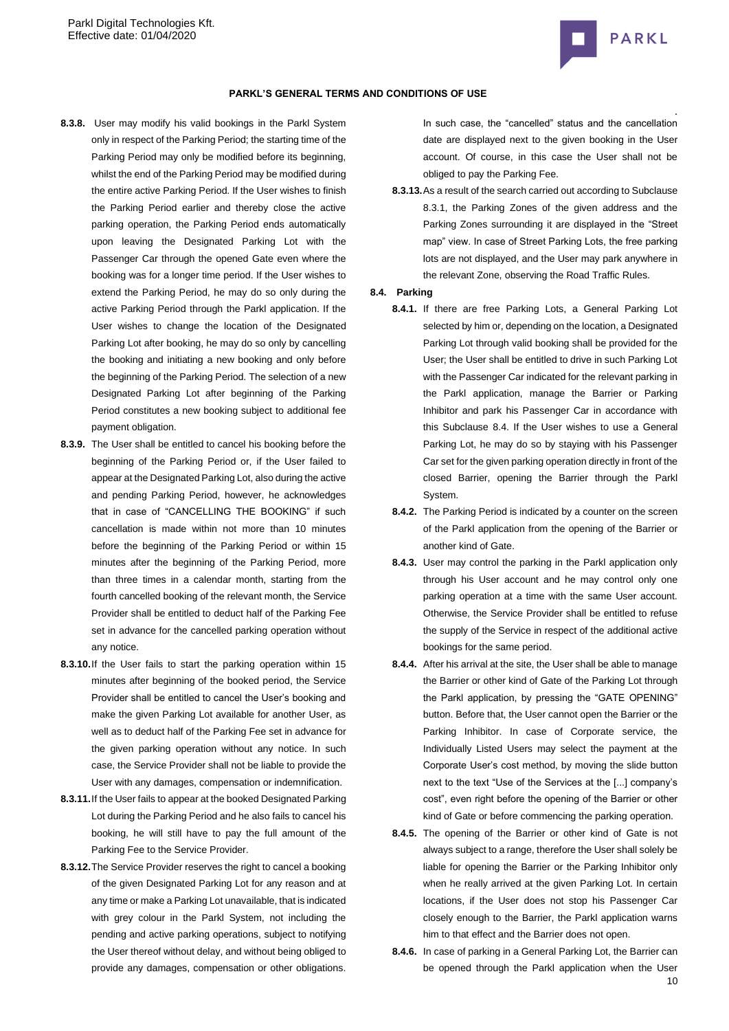

- **8.3.8.** User may modify his valid bookings in the Parkl System only in respect of the Parking Period; the starting time of the Parking Period may only be modified before its beginning, whilst the end of the Parking Period may be modified during the entire active Parking Period. If the User wishes to finish the Parking Period earlier and thereby close the active parking operation, the Parking Period ends automatically upon leaving the Designated Parking Lot with the Passenger Car through the opened Gate even where the booking was for a longer time period. If the User wishes to extend the Parking Period, he may do so only during the active Parking Period through the Parkl application. If the User wishes to change the location of the Designated Parking Lot after booking, he may do so only by cancelling the booking and initiating a new booking and only before the beginning of the Parking Period. The selection of a new Designated Parking Lot after beginning of the Parking Period constitutes a new booking subject to additional fee payment obligation.
- **8.3.9.** The User shall be entitled to cancel his booking before the beginning of the Parking Period or, if the User failed to appear at the Designated Parking Lot, also during the active and pending Parking Period, however, he acknowledges that in case of "CANCELLING THE BOOKING" if such cancellation is made within not more than 10 minutes before the beginning of the Parking Period or within 15 minutes after the beginning of the Parking Period, more than three times in a calendar month, starting from the fourth cancelled booking of the relevant month, the Service Provider shall be entitled to deduct half of the Parking Fee set in advance for the cancelled parking operation without any notice.
- **8.3.10.**If the User fails to start the parking operation within 15 minutes after beginning of the booked period, the Service Provider shall be entitled to cancel the User's booking and make the given Parking Lot available for another User, as well as to deduct half of the Parking Fee set in advance for the given parking operation without any notice. In such case, the Service Provider shall not be liable to provide the User with any damages, compensation or indemnification.
- **8.3.11.**If the User fails to appear at the booked Designated Parking Lot during the Parking Period and he also fails to cancel his booking, he will still have to pay the full amount of the Parking Fee to the Service Provider.
- **8.3.12.**The Service Provider reserves the right to cancel a booking of the given Designated Parking Lot for any reason and at any time or make a Parking Lot unavailable, that is indicated with grey colour in the Parkl System, not including the pending and active parking operations, subject to notifying the User thereof without delay, and without being obliged to provide any damages, compensation or other obligations.

. In such case, the "cancelled" status and the cancellation date are displayed next to the given booking in the User account. Of course, in this case the User shall not be obliged to pay the Parking Fee.

**8.3.13.**As a result of the search carried out according to Subclause 8.3.1, the Parking Zones of the given address and the Parking Zones surrounding it are displayed in the "Street map" view. In case of Street Parking Lots, the free parking lots are not displayed, and the User may park anywhere in the relevant Zone, observing the Road Traffic Rules.

### <span id="page-9-0"></span>**8.4. Parking**

- **8.4.1.** If there are free Parking Lots, a General Parking Lot selected by him or, depending on the location, a Designated Parking Lot through valid booking shall be provided for the User; the User shall be entitled to drive in such Parking Lot with the Passenger Car indicated for the relevant parking in the Parkl application, manage the Barrier or Parking Inhibitor and park his Passenger Car in accordance with this Subclause [8.4.](#page-9-0) If the User wishes to use a General Parking Lot, he may do so by staying with his Passenger Car set for the given parking operation directly in front of the closed Barrier, opening the Barrier through the Parkl System.
- **8.4.2.** The Parking Period is indicated by a counter on the screen of the Parkl application from the opening of the Barrier or another kind of Gate.
- **8.4.3.** User may control the parking in the Parkl application only through his User account and he may control only one parking operation at a time with the same User account. Otherwise, the Service Provider shall be entitled to refuse the supply of the Service in respect of the additional active bookings for the same period.
- **8.4.4.** After his arrival at the site, the User shall be able to manage the Barrier or other kind of Gate of the Parking Lot through the Parkl application, by pressing the "GATE OPENING" button. Before that, the User cannot open the Barrier or the Parking Inhibitor. In case of Corporate service, the Individually Listed Users may select the payment at the Corporate User's cost method, by moving the slide button next to the text "Use of the Services at the [...] company's cost", even right before the opening of the Barrier or other kind of Gate or before commencing the parking operation.
- **8.4.5.** The opening of the Barrier or other kind of Gate is not always subject to a range, therefore the User shall solely be liable for opening the Barrier or the Parking Inhibitor only when he really arrived at the given Parking Lot. In certain locations, if the User does not stop his Passenger Car closely enough to the Barrier, the Parkl application warns him to that effect and the Barrier does not open.
- 10 **8.4.6.** In case of parking in a General Parking Lot, the Barrier can be opened through the Parkl application when the User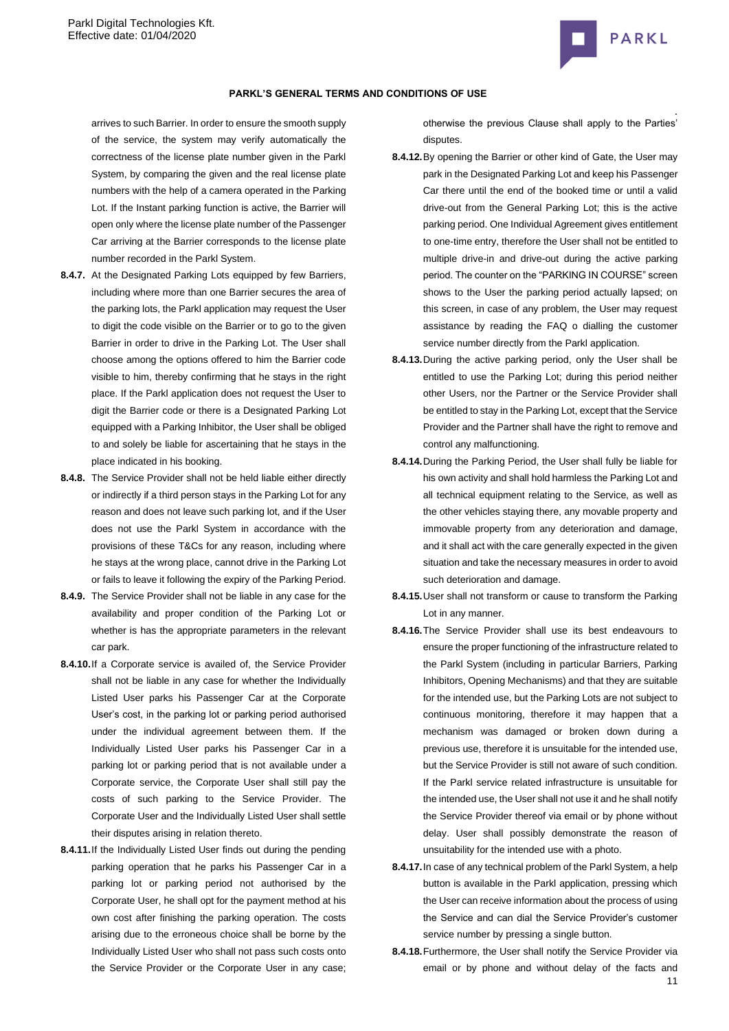

arrives to such Barrier. In order to ensure the smooth supply of the service, the system may verify automatically the correctness of the license plate number given in the Parkl System, by comparing the given and the real license plate numbers with the help of a camera operated in the Parking Lot. If the Instant parking function is active, the Barrier will open only where the license plate number of the Passenger Car arriving at the Barrier corresponds to the license plate number recorded in the Parkl System.

- **8.4.7.** At the Designated Parking Lots equipped by few Barriers, including where more than one Barrier secures the area of the parking lots, the Parkl application may request the User to digit the code visible on the Barrier or to go to the given Barrier in order to drive in the Parking Lot. The User shall choose among the options offered to him the Barrier code visible to him, thereby confirming that he stays in the right place. If the Parkl application does not request the User to digit the Barrier code or there is a Designated Parking Lot equipped with a Parking Inhibitor, the User shall be obliged to and solely be liable for ascertaining that he stays in the place indicated in his booking.
- **8.4.8.** The Service Provider shall not be held liable either directly or indirectly if a third person stays in the Parking Lot for any reason and does not leave such parking lot, and if the User does not use the Parkl System in accordance with the provisions of these T&Cs for any reason, including where he stays at the wrong place, cannot drive in the Parking Lot or fails to leave it following the expiry of the Parking Period.
- **8.4.9.** The Service Provider shall not be liable in any case for the availability and proper condition of the Parking Lot or whether is has the appropriate parameters in the relevant car park.
- **8.4.10.**If a Corporate service is availed of, the Service Provider shall not be liable in any case for whether the Individually Listed User parks his Passenger Car at the Corporate User's cost, in the parking lot or parking period authorised under the individual agreement between them. If the Individually Listed User parks his Passenger Car in a parking lot or parking period that is not available under a Corporate service, the Corporate User shall still pay the costs of such parking to the Service Provider. The Corporate User and the Individually Listed User shall settle their disputes arising in relation thereto.
- **8.4.11.**If the Individually Listed User finds out during the pending parking operation that he parks his Passenger Car in a parking lot or parking period not authorised by the Corporate User, he shall opt for the payment method at his own cost after finishing the parking operation. The costs arising due to the erroneous choice shall be borne by the Individually Listed User who shall not pass such costs onto the Service Provider or the Corporate User in any case;

. otherwise the previous Clause shall apply to the Parties' disputes.

- **8.4.12.**By opening the Barrier or other kind of Gate, the User may park in the Designated Parking Lot and keep his Passenger Car there until the end of the booked time or until a valid drive-out from the General Parking Lot; this is the active parking period. One Individual Agreement gives entitlement to one-time entry, therefore the User shall not be entitled to multiple drive-in and drive-out during the active parking period. The counter on the "PARKING IN COURSE" screen shows to the User the parking period actually lapsed; on this screen, in case of any problem, the User may request assistance by reading the FAQ o dialling the customer service number directly from the Parkl application.
- **8.4.13.**During the active parking period, only the User shall be entitled to use the Parking Lot; during this period neither other Users, nor the Partner or the Service Provider shall be entitled to stay in the Parking Lot, except that the Service Provider and the Partner shall have the right to remove and control any malfunctioning.
- **8.4.14.**During the Parking Period, the User shall fully be liable for his own activity and shall hold harmless the Parking Lot and all technical equipment relating to the Service, as well as the other vehicles staying there, any movable property and immovable property from any deterioration and damage, and it shall act with the care generally expected in the given situation and take the necessary measures in order to avoid such deterioration and damage.
- **8.4.15.**User shall not transform or cause to transform the Parking Lot in any manner.
- **8.4.16.**The Service Provider shall use its best endeavours to ensure the proper functioning of the infrastructure related to the Parkl System (including in particular Barriers, Parking Inhibitors, Opening Mechanisms) and that they are suitable for the intended use, but the Parking Lots are not subject to continuous monitoring, therefore it may happen that a mechanism was damaged or broken down during a previous use, therefore it is unsuitable for the intended use, but the Service Provider is still not aware of such condition. If the Parkl service related infrastructure is unsuitable for the intended use, the User shall not use it and he shall notify the Service Provider thereof via email or by phone without delay. User shall possibly demonstrate the reason of unsuitability for the intended use with a photo.
- **8.4.17.**In case of any technical problem of the Parkl System, a help button is available in the Parkl application, pressing which the User can receive information about the process of using the Service and can dial the Service Provider's customer service number by pressing a single button.
- 11 **8.4.18.**Furthermore, the User shall notify the Service Provider via email or by phone and without delay of the facts and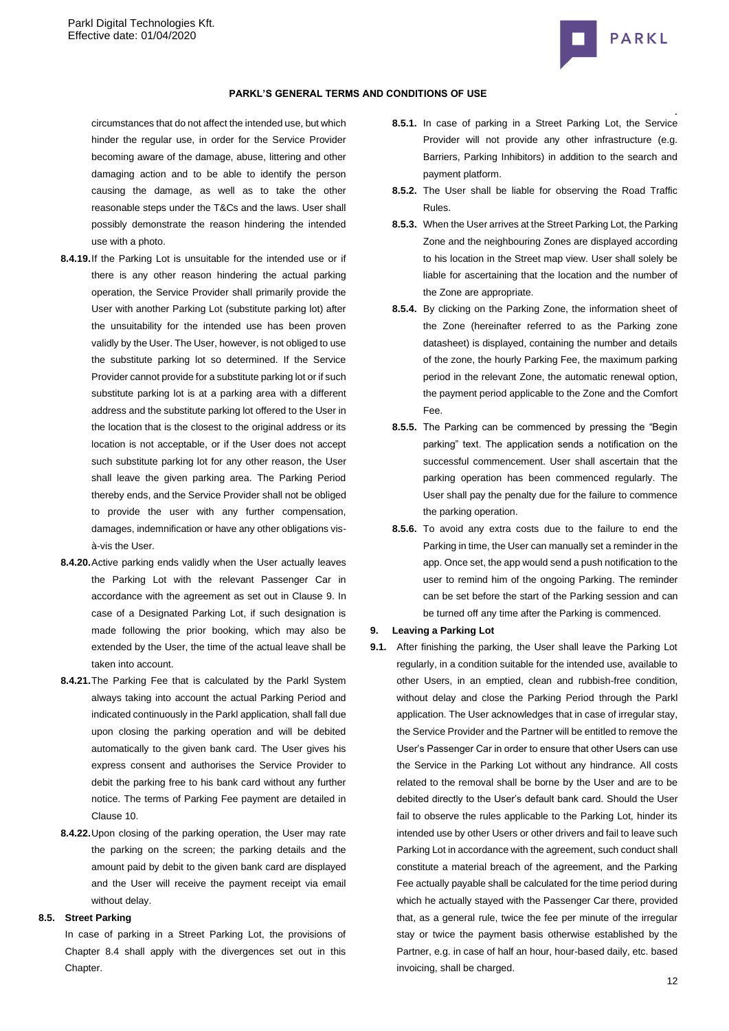

circumstances that do not affect the intended use, but which hinder the regular use, in order for the Service Provider becoming aware of the damage, abuse, littering and other damaging action and to be able to identify the person causing the damage, as well as to take the other reasonable steps under the T&Cs and the laws. User shall possibly demonstrate the reason hindering the intended use with a photo.

- **8.4.19.**If the Parking Lot is unsuitable for the intended use or if there is any other reason hindering the actual parking operation, the Service Provider shall primarily provide the User with another Parking Lot (substitute parking lot) after the unsuitability for the intended use has been proven validly by the User. The User, however, is not obliged to use the substitute parking lot so determined. If the Service Provider cannot provide for a substitute parking lot or if such substitute parking lot is at a parking area with a different address and the substitute parking lot offered to the User in the location that is the closest to the original address or its location is not acceptable, or if the User does not accept such substitute parking lot for any other reason, the User shall leave the given parking area. The Parking Period thereby ends, and the Service Provider shall not be obliged to provide the user with any further compensation, damages, indemnification or have any other obligations visà-vis the User.
- **8.4.20.**Active parking ends validly when the User actually leaves the Parking Lot with the relevant Passenger Car in accordance with the agreement as set out in Clause [9.](#page-11-0) In case of a Designated Parking Lot, if such designation is made following the prior booking, which may also be extended by the User, the time of the actual leave shall be taken into account.
- **8.4.21.**The Parking Fee that is calculated by the Parkl System always taking into account the actual Parking Period and indicated continuously in the Parkl application, shall fall due upon closing the parking operation and will be debited automatically to the given bank card. The User gives his express consent and authorises the Service Provider to debit the parking free to his bank card without any further notice. The terms of Parking Fee payment are detailed in Clause [10.](#page-12-0)
- **8.4.22.**Upon closing of the parking operation, the User may rate the parking on the screen; the parking details and the amount paid by debit to the given bank card are displayed and the User will receive the payment receipt via email without delay.

# **8.5. Street Parking**

In case of parking in a Street Parking Lot, the provisions of Chapter 8.4 shall apply with the divergences set out in this Chapter.

- . **8.5.1.** In case of parking in a Street Parking Lot, the Service Provider will not provide any other infrastructure (e.g. Barriers, Parking Inhibitors) in addition to the search and payment platform.
- **8.5.2.** The User shall be liable for observing the Road Traffic Rules.
- **8.5.3.** When the User arrives at the Street Parking Lot, the Parking Zone and the neighbouring Zones are displayed according to his location in the Street map view. User shall solely be liable for ascertaining that the location and the number of the Zone are appropriate.
- **8.5.4.** By clicking on the Parking Zone, the information sheet of the Zone (hereinafter referred to as the Parking zone datasheet) is displayed, containing the number and details of the zone, the hourly Parking Fee, the maximum parking period in the relevant Zone, the automatic renewal option, the payment period applicable to the Zone and the Comfort Fee.
- **8.5.5.** The Parking can be commenced by pressing the "Begin parking" text. The application sends a notification on the successful commencement. User shall ascertain that the parking operation has been commenced regularly. The User shall pay the penalty due for the failure to commence the parking operation.
- **8.5.6.** To avoid any extra costs due to the failure to end the Parking in time, the User can manually set a reminder in the app. Once set, the app would send a push notification to the user to remind him of the ongoing Parking. The reminder can be set before the start of the Parking session and can be turned off any time after the Parking is commenced.

#### <span id="page-11-0"></span>**9. Leaving a Parking Lot**

**9.1.** After finishing the parking, the User shall leave the Parking Lot regularly, in a condition suitable for the intended use, available to other Users, in an emptied, clean and rubbish-free condition, without delay and close the Parking Period through the Parkl application. The User acknowledges that in case of irregular stay, the Service Provider and the Partner will be entitled to remove the User's Passenger Car in order to ensure that other Users can use the Service in the Parking Lot without any hindrance. All costs related to the removal shall be borne by the User and are to be debited directly to the User's default bank card. Should the User fail to observe the rules applicable to the Parking Lot, hinder its intended use by other Users or other drivers and fail to leave such Parking Lot in accordance with the agreement, such conduct shall constitute a material breach of the agreement, and the Parking Fee actually payable shall be calculated for the time period during which he actually stayed with the Passenger Car there, provided that, as a general rule, twice the fee per minute of the irregular stay or twice the payment basis otherwise established by the Partner, e.g. in case of half an hour, hour-based daily, etc. based invoicing, shall be charged.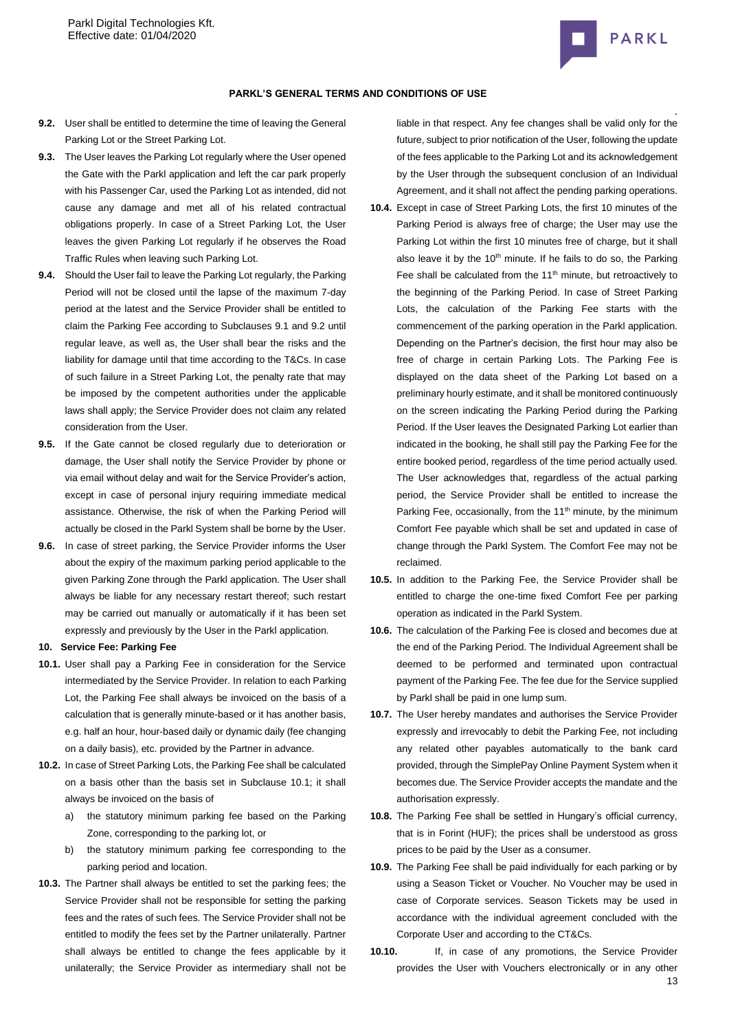

#### **PARKL'S GENERAL TERMS AND CONDITIONS OF USE**

- **9.2.** User shall be entitled to determine the time of leaving the General Parking Lot or the Street Parking Lot.
- **9.3.** The User leaves the Parking Lot regularly where the User opened the Gate with the Parkl application and left the car park properly with his Passenger Car, used the Parking Lot as intended, did not cause any damage and met all of his related contractual obligations properly. In case of a Street Parking Lot, the User leaves the given Parking Lot regularly if he observes the Road Traffic Rules when leaving such Parking Lot.
- **9.4.** Should the User fail to leave the Parking Lot regularly, the Parking Period will not be closed until the lapse of the maximum 7-day period at the latest and the Service Provider shall be entitled to claim the Parking Fee according to Subclauses 9.1 and 9.2 until regular leave, as well as, the User shall bear the risks and the liability for damage until that time according to the T&Cs. In case of such failure in a Street Parking Lot, the penalty rate that may be imposed by the competent authorities under the applicable laws shall apply; the Service Provider does not claim any related consideration from the User.
- **9.5.** If the Gate cannot be closed regularly due to deterioration or damage, the User shall notify the Service Provider by phone or via email without delay and wait for the Service Provider's action, except in case of personal injury requiring immediate medical assistance. Otherwise, the risk of when the Parking Period will actually be closed in the Parkl System shall be borne by the User.
- **9.6.** In case of street parking, the Service Provider informs the User about the expiry of the maximum parking period applicable to the given Parking Zone through the Parkl application. The User shall always be liable for any necessary restart thereof; such restart may be carried out manually or automatically if it has been set expressly and previously by the User in the Parkl application.

#### <span id="page-12-0"></span>**10. Service Fee: Parking Fee**

- **10.1.** User shall pay a Parking Fee in consideration for the Service intermediated by the Service Provider. In relation to each Parking Lot, the Parking Fee shall always be invoiced on the basis of a calculation that is generally minute-based or it has another basis, e.g. half an hour, hour-based daily or dynamic daily (fee changing on a daily basis), etc. provided by the Partner in advance.
- **10.2.** In case of Street Parking Lots, the Parking Fee shall be calculated on a basis other than the basis set in Subclause 10.1; it shall always be invoiced on the basis of
	- a) the statutory minimum parking fee based on the Parking Zone, corresponding to the parking lot, or
	- b) the statutory minimum parking fee corresponding to the parking period and location.
- **10.3.** The Partner shall always be entitled to set the parking fees; the Service Provider shall not be responsible for setting the parking fees and the rates of such fees. The Service Provider shall not be entitled to modify the fees set by the Partner unilaterally. Partner shall always be entitled to change the fees applicable by it unilaterally; the Service Provider as intermediary shall not be

liable in that respect. Any fee changes shall be valid only for the future, subject to prior notification of the User, following the update of the fees applicable to the Parking Lot and its acknowledgement by the User through the subsequent conclusion of an Individual Agreement, and it shall not affect the pending parking operations.

- **10.4.** Except in case of Street Parking Lots, the first 10 minutes of the Parking Period is always free of charge; the User may use the Parking Lot within the first 10 minutes free of charge, but it shall also leave it by the 10<sup>th</sup> minute. If he fails to do so, the Parking Fee shall be calculated from the  $11<sup>th</sup>$  minute, but retroactively to the beginning of the Parking Period. In case of Street Parking Lots, the calculation of the Parking Fee starts with the commencement of the parking operation in the Parkl application. Depending on the Partner's decision, the first hour may also be free of charge in certain Parking Lots. The Parking Fee is displayed on the data sheet of the Parking Lot based on a preliminary hourly estimate, and it shall be monitored continuously on the screen indicating the Parking Period during the Parking Period. If the User leaves the Designated Parking Lot earlier than indicated in the booking, he shall still pay the Parking Fee for the entire booked period, regardless of the time period actually used. The User acknowledges that, regardless of the actual parking period, the Service Provider shall be entitled to increase the Parking Fee, occasionally, from the 11<sup>th</sup> minute, by the minimum Comfort Fee payable which shall be set and updated in case of change through the Parkl System. The Comfort Fee may not be reclaimed.
- **10.5.** In addition to the Parking Fee, the Service Provider shall be entitled to charge the one-time fixed Comfort Fee per parking operation as indicated in the Parkl System.
- **10.6.** The calculation of the Parking Fee is closed and becomes due at the end of the Parking Period. The Individual Agreement shall be deemed to be performed and terminated upon contractual payment of the Parking Fee. The fee due for the Service supplied by Parkl shall be paid in one lump sum.
- **10.7.** The User hereby mandates and authorises the Service Provider expressly and irrevocably to debit the Parking Fee, not including any related other payables automatically to the bank card provided, through the SimplePay Online Payment System when it becomes due. The Service Provider accepts the mandate and the authorisation expressly.
- **10.8.** The Parking Fee shall be settled in Hungary's official currency, that is in Forint (HUF); the prices shall be understood as gross prices to be paid by the User as a consumer.
- **10.9.** The Parking Fee shall be paid individually for each parking or by using a Season Ticket or Voucher. No Voucher may be used in case of Corporate services. Season Tickets may be used in accordance with the individual agreement concluded with the Corporate User and according to the CT&Cs.
- 13 **10.10.** If, in case of any promotions, the Service Provider provides the User with Vouchers electronically or in any other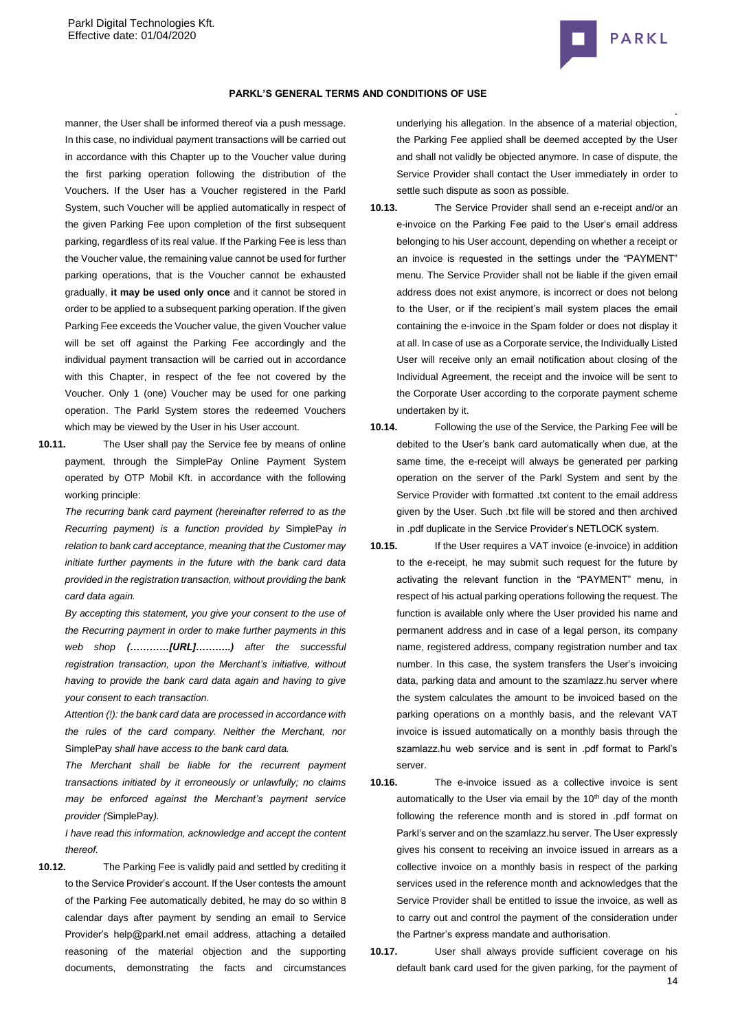

#### **PARKL'S GENERAL TERMS AND CONDITIONS OF USE**

manner, the User shall be informed thereof via a push message. In this case, no individual payment transactions will be carried out in accordance with this Chapter up to the Voucher value during the first parking operation following the distribution of the Vouchers. If the User has a Voucher registered in the Parkl System, such Voucher will be applied automatically in respect of the given Parking Fee upon completion of the first subsequent parking, regardless of its real value. If the Parking Fee is less than the Voucher value, the remaining value cannot be used for further parking operations, that is the Voucher cannot be exhausted gradually, **it may be used only once** and it cannot be stored in order to be applied to a subsequent parking operation. If the given Parking Fee exceeds the Voucher value, the given Voucher value will be set off against the Parking Fee accordingly and the individual payment transaction will be carried out in accordance with this Chapter, in respect of the fee not covered by the Voucher. Only 1 (one) Voucher may be used for one parking operation. The Parkl System stores the redeemed Vouchers which may be viewed by the User in his User account.

**10.11.** The User shall pay the Service fee by means of online payment, through the SimplePay Online Payment System operated by OTP Mobil Kft. in accordance with the following working principle:

*The recurring bank card payment (hereinafter referred to as the Recurring payment) is a function provided by* SimplePay *in relation to bank card acceptance, meaning that the Customer may initiate further payments in the future with the bank card data provided in the registration transaction, without providing the bank card data again.*

*By accepting this statement, you give your consent to the use of the Recurring payment in order to make further payments in this web shop (…………[URL]………..) after the successful registration transaction, upon the Merchant's initiative, without having to provide the bank card data again and having to give your consent to each transaction.*

*Attention (!): the bank card data are processed in accordance with the rules of the card company. Neither the Merchant, nor*  SimplePay *shall have access to the bank card data.*

*The Merchant shall be liable for the recurrent payment transactions initiated by it erroneously or unlawfully; no claims may be enforced against the Merchant's payment service provider (*SimplePay*).*

*I have read this information, acknowledge and accept the content thereof.*

**10.12.** The Parking Fee is validly paid and settled by crediting it to the Service Provider's account. If the User contests the amount of the Parking Fee automatically debited, he may do so within 8 calendar days after payment by sending an email to Service Provider's help@parkl.net email address, attaching a detailed reasoning of the material objection and the supporting documents, demonstrating the facts and circumstances

underlying his allegation. In the absence of a material objection, the Parking Fee applied shall be deemed accepted by the User and shall not validly be objected anymore. In case of dispute, the Service Provider shall contact the User immediately in order to settle such dispute as soon as possible.

- **10.13.** The Service Provider shall send an e-receipt and/or an e-invoice on the Parking Fee paid to the User's email address belonging to his User account, depending on whether a receipt or an invoice is requested in the settings under the "PAYMENT" menu. The Service Provider shall not be liable if the given email address does not exist anymore, is incorrect or does not belong to the User, or if the recipient's mail system places the email containing the e-invoice in the Spam folder or does not display it at all. In case of use as a Corporate service, the Individually Listed User will receive only an email notification about closing of the Individual Agreement, the receipt and the invoice will be sent to the Corporate User according to the corporate payment scheme undertaken by it.
- **10.14.** Following the use of the Service, the Parking Fee will be debited to the User's bank card automatically when due, at the same time, the e-receipt will always be generated per parking operation on the server of the Parkl System and sent by the Service Provider with formatted .txt content to the email address given by the User. Such .txt file will be stored and then archived in .pdf duplicate in the Service Provider's NETLOCK system.

- **10.15.** If the User requires a VAT invoice (e-invoice) in addition to the e-receipt, he may submit such request for the future by activating the relevant function in the "PAYMENT" menu, in respect of his actual parking operations following the request. The function is available only where the User provided his name and permanent address and in case of a legal person, its company name, registered address, company registration number and tax number. In this case, the system transfers the User's invoicing data, parking data and amount to the szamlazz.hu server where the system calculates the amount to be invoiced based on the parking operations on a monthly basis, and the relevant VAT invoice is issued automatically on a monthly basis through the szamlazz.hu web service and is sent in .pdf format to Parkl's server.
- **10.16.** The e-invoice issued as a collective invoice is sent automatically to the User via email by the 10<sup>th</sup> day of the month following the reference month and is stored in .pdf format on Parkl's server and on the szamlazz.hu server. The User expressly gives his consent to receiving an invoice issued in arrears as a collective invoice on a monthly basis in respect of the parking services used in the reference month and acknowledges that the Service Provider shall be entitled to issue the invoice, as well as to carry out and control the payment of the consideration under the Partner's express mandate and authorisation.
- 14 **10.17.** User shall always provide sufficient coverage on his default bank card used for the given parking, for the payment of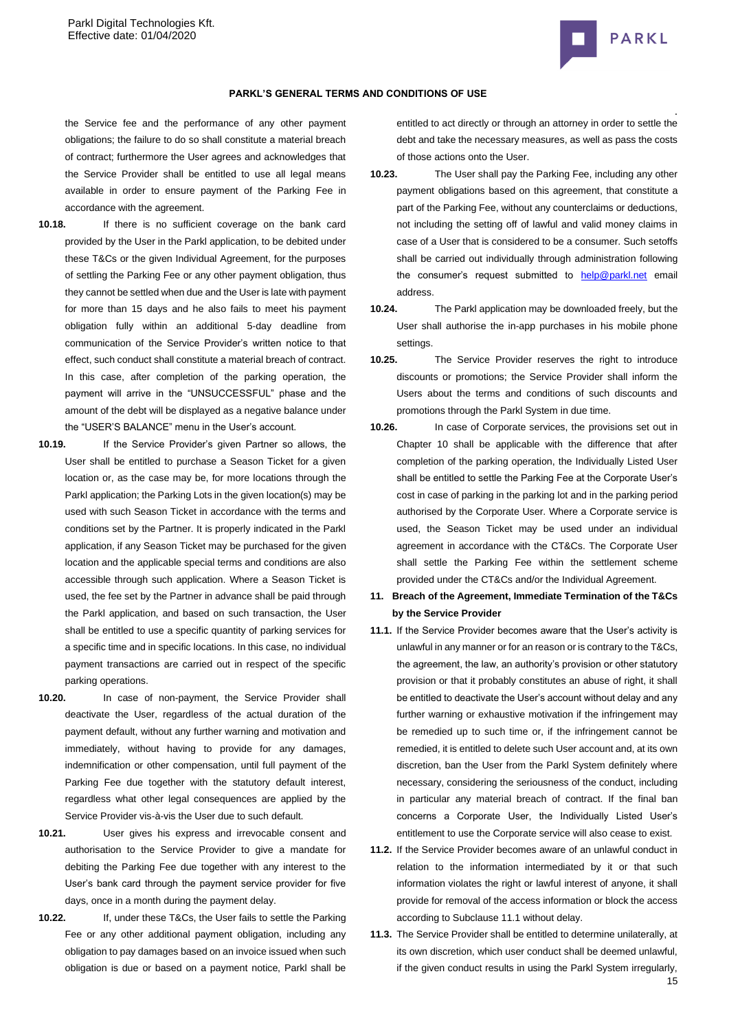

## **PARKL'S GENERAL TERMS AND CONDITIONS OF USE**

the Service fee and the performance of any other payment obligations; the failure to do so shall constitute a material breach of contract; furthermore the User agrees and acknowledges that the Service Provider shall be entitled to use all legal means available in order to ensure payment of the Parking Fee in accordance with the agreement.

- 
- **10.18.** If there is no sufficient coverage on the bank card provided by the User in the Parkl application, to be debited under these T&Cs or the given Individual Agreement, for the purposes of settling the Parking Fee or any other payment obligation, thus they cannot be settled when due and the User is late with payment for more than 15 days and he also fails to meet his payment obligation fully within an additional 5-day deadline from communication of the Service Provider's written notice to that effect, such conduct shall constitute a material breach of contract. In this case, after completion of the parking operation, the payment will arrive in the "UNSUCCESSFUL" phase and the amount of the debt will be displayed as a negative balance under the "USER'S BALANCE" menu in the User's account.
- **10.19.** If the Service Provider's given Partner so allows, the User shall be entitled to purchase a Season Ticket for a given location or, as the case may be, for more locations through the Parkl application; the Parking Lots in the given location(s) may be used with such Season Ticket in accordance with the terms and conditions set by the Partner. It is properly indicated in the Parkl application, if any Season Ticket may be purchased for the given location and the applicable special terms and conditions are also accessible through such application. Where a Season Ticket is used, the fee set by the Partner in advance shall be paid through the Parkl application, and based on such transaction, the User shall be entitled to use a specific quantity of parking services for a specific time and in specific locations. In this case, no individual payment transactions are carried out in respect of the specific parking operations.
- **10.20.** In case of non-payment, the Service Provider shall deactivate the User, regardless of the actual duration of the payment default, without any further warning and motivation and immediately, without having to provide for any damages, indemnification or other compensation, until full payment of the Parking Fee due together with the statutory default interest, regardless what other legal consequences are applied by the Service Provider vis-à-vis the User due to such default.
- **10.21.** User gives his express and irrevocable consent and authorisation to the Service Provider to give a mandate for debiting the Parking Fee due together with any interest to the User's bank card through the payment service provider for five days, once in a month during the payment delay.
- **10.22.** If, under these T&Cs, the User fails to settle the Parking Fee or any other additional payment obligation, including any obligation to pay damages based on an invoice issued when such obligation is due or based on a payment notice, Parkl shall be

entitled to act directly or through an attorney in order to settle the debt and take the necessary measures, as well as pass the costs of those actions onto the User.

- **10.23.** The User shall pay the Parking Fee, including any other payment obligations based on this agreement, that constitute a part of the Parking Fee, without any counterclaims or deductions, not including the setting off of lawful and valid money claims in case of a User that is considered to be a consumer. Such setoffs shall be carried out individually through administration following the consumer's request submitted to [help@parkl.net](mailto:help@parkl.net) email address.
- **10.24.** The Parkl application may be downloaded freely, but the User shall authorise the in-app purchases in his mobile phone settings.
- **10.25.** The Service Provider reserves the right to introduce discounts or promotions; the Service Provider shall inform the Users about the terms and conditions of such discounts and promotions through the Parkl System in due time.
- **10.26.** In case of Corporate services, the provisions set out in Chapter 10 shall be applicable with the difference that after completion of the parking operation, the Individually Listed User shall be entitled to settle the Parking Fee at the Corporate User's cost in case of parking in the parking lot and in the parking period authorised by the Corporate User. Where a Corporate service is used, the Season Ticket may be used under an individual agreement in accordance with the CT&Cs. The Corporate User shall settle the Parking Fee within the settlement scheme provided under the CT&Cs and/or the Individual Agreement.
- **11. Breach of the Agreement, Immediate Termination of the T&Cs by the Service Provider**
- **11.1.** If the Service Provider becomes aware that the User's activity is unlawful in any manner or for an reason or is contrary to the T&Cs, the agreement, the law, an authority's provision or other statutory provision or that it probably constitutes an abuse of right, it shall be entitled to deactivate the User's account without delay and any further warning or exhaustive motivation if the infringement may be remedied up to such time or, if the infringement cannot be remedied, it is entitled to delete such User account and, at its own discretion, ban the User from the Parkl System definitely where necessary, considering the seriousness of the conduct, including in particular any material breach of contract. If the final ban concerns a Corporate User, the Individually Listed User's entitlement to use the Corporate service will also cease to exist.
- **11.2.** If the Service Provider becomes aware of an unlawful conduct in relation to the information intermediated by it or that such information violates the right or lawful interest of anyone, it shall provide for removal of the access information or block the access according to Subclause 11.1 without delay.
- 15 **11.3.** The Service Provider shall be entitled to determine unilaterally, at its own discretion, which user conduct shall be deemed unlawful, if the given conduct results in using the Parkl System irregularly,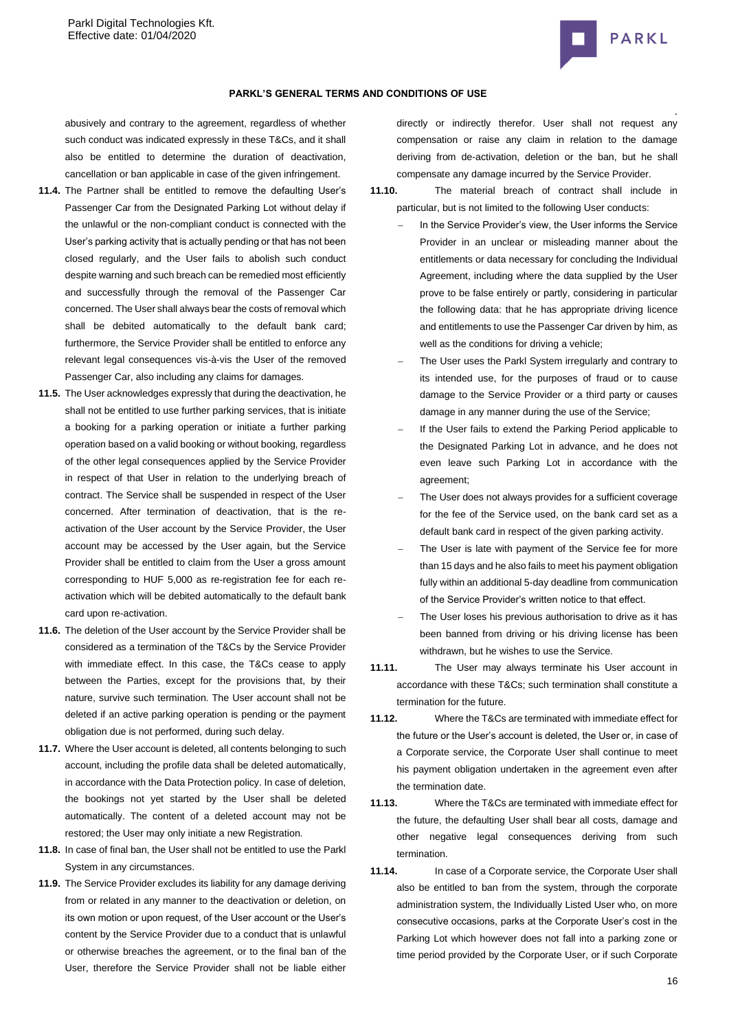

#### **PARKL'S GENERAL TERMS AND CONDITIONS OF USE**

abusively and contrary to the agreement, regardless of whether such conduct was indicated expressly in these T&Cs, and it shall also be entitled to determine the duration of deactivation, cancellation or ban applicable in case of the given infringement.

- **11.4.** The Partner shall be entitled to remove the defaulting User's Passenger Car from the Designated Parking Lot without delay if the unlawful or the non-compliant conduct is connected with the User's parking activity that is actually pending or that has not been closed regularly, and the User fails to abolish such conduct despite warning and such breach can be remedied most efficiently and successfully through the removal of the Passenger Car concerned. The User shall always bear the costs of removal which shall be debited automatically to the default bank card; furthermore, the Service Provider shall be entitled to enforce any relevant legal consequences vis-à-vis the User of the removed Passenger Car, also including any claims for damages.
- **11.5.** The User acknowledges expressly that during the deactivation, he shall not be entitled to use further parking services, that is initiate a booking for a parking operation or initiate a further parking operation based on a valid booking or without booking, regardless of the other legal consequences applied by the Service Provider in respect of that User in relation to the underlying breach of contract. The Service shall be suspended in respect of the User concerned. After termination of deactivation, that is the reactivation of the User account by the Service Provider, the User account may be accessed by the User again, but the Service Provider shall be entitled to claim from the User a gross amount corresponding to HUF 5,000 as re-registration fee for each reactivation which will be debited automatically to the default bank card upon re-activation.
- **11.6.** The deletion of the User account by the Service Provider shall be considered as a termination of the T&Cs by the Service Provider with immediate effect. In this case, the T&Cs cease to apply between the Parties, except for the provisions that, by their nature, survive such termination. The User account shall not be deleted if an active parking operation is pending or the payment obligation due is not performed, during such delay.
- **11.7.** Where the User account is deleted, all contents belonging to such account, including the profile data shall be deleted automatically, in accordance with the Data Protection policy. In case of deletion, the bookings not yet started by the User shall be deleted automatically. The content of a deleted account may not be restored; the User may only initiate a new Registration.
- **11.8.** In case of final ban, the User shall not be entitled to use the Parkl System in any circumstances.
- **11.9.** The Service Provider excludes its liability for any damage deriving from or related in any manner to the deactivation or deletion, on its own motion or upon request, of the User account or the User's content by the Service Provider due to a conduct that is unlawful or otherwise breaches the agreement, or to the final ban of the User, therefore the Service Provider shall not be liable either

directly or indirectly therefor. User shall not request any compensation or raise any claim in relation to the damage deriving from de-activation, deletion or the ban, but he shall compensate any damage incurred by the Service Provider.

**11.10.** The material breach of contract shall include in particular, but is not limited to the following User conducts:

- In the Service Provider's view, the User informs the Service Provider in an unclear or misleading manner about the entitlements or data necessary for concluding the Individual Agreement, including where the data supplied by the User prove to be false entirely or partly, considering in particular the following data: that he has appropriate driving licence and entitlements to use the Passenger Car driven by him, as well as the conditions for driving a vehicle;
- The User uses the Parkl System irregularly and contrary to its intended use, for the purposes of fraud or to cause damage to the Service Provider or a third party or causes damage in any manner during the use of the Service;
- If the User fails to extend the Parking Period applicable to the Designated Parking Lot in advance, and he does not even leave such Parking Lot in accordance with the agreement;
- The User does not always provides for a sufficient coverage for the fee of the Service used, on the bank card set as a default bank card in respect of the given parking activity.
- The User is late with payment of the Service fee for more than 15 days and he also fails to meet his payment obligation fully within an additional 5-day deadline from communication of the Service Provider's written notice to that effect.
- The User loses his previous authorisation to drive as it has been banned from driving or his driving license has been withdrawn, but he wishes to use the Service.
- **11.11.** The User may always terminate his User account in accordance with these T&Cs; such termination shall constitute a termination for the future.
- **11.12.** Where the T&Cs are terminated with immediate effect for the future or the User's account is deleted, the User or, in case of a Corporate service, the Corporate User shall continue to meet his payment obligation undertaken in the agreement even after the termination date.
- **11.13.** Where the T&Cs are terminated with immediate effect for the future, the defaulting User shall bear all costs, damage and other negative legal consequences deriving from such termination.
- **11.14.** In case of a Corporate service, the Corporate User shall also be entitled to ban from the system, through the corporate administration system, the Individually Listed User who, on more consecutive occasions, parks at the Corporate User's cost in the Parking Lot which however does not fall into a parking zone or time period provided by the Corporate User, or if such Corporate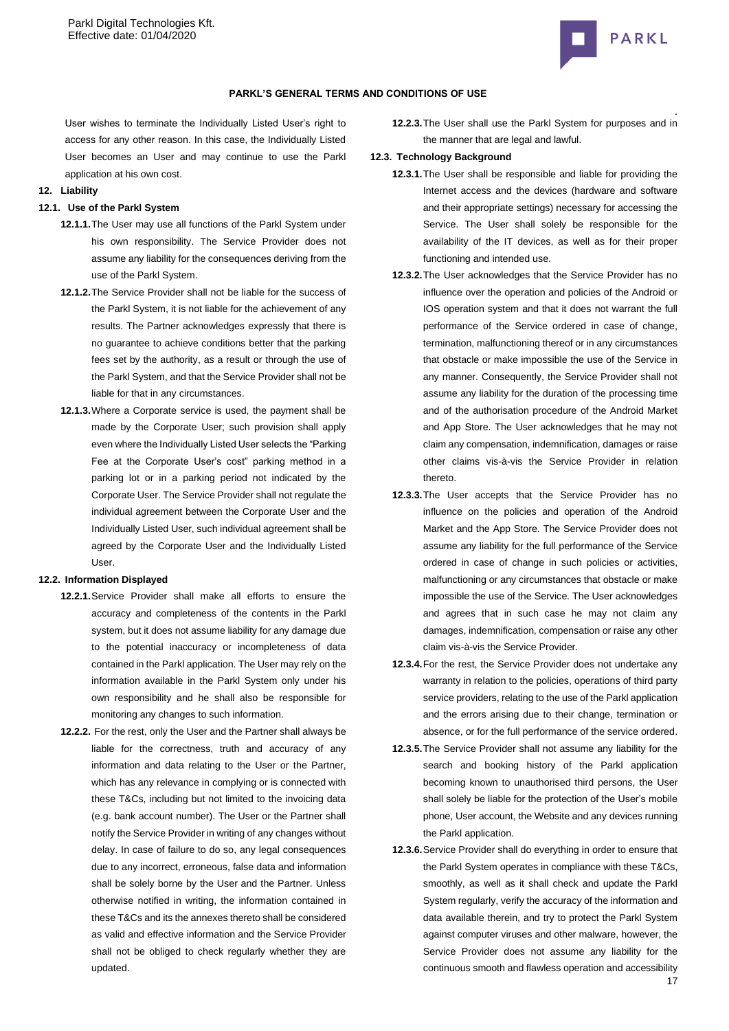

# **PARKL'S GENERAL TERMS AND CONDITIONS OF USE**

User wishes to terminate the Individually Listed User's right to access for any other reason. In this case, the Individually Listed User becomes an User and may continue to use the Parkl application at his own cost.

#### **12. Liability**

# **12.1. Use of the Parkl System**

- **12.1.1.**The User may use all functions of the Parkl System under his own responsibility. The Service Provider does not assume any liability for the consequences deriving from the use of the Parkl System.
- **12.1.2.**The Service Provider shall not be liable for the success of the Parkl System, it is not liable for the achievement of any results. The Partner acknowledges expressly that there is no guarantee to achieve conditions better that the parking fees set by the authority, as a result or through the use of the Parkl System, and that the Service Provider shall not be liable for that in any circumstances.
- **12.1.3.**Where a Corporate service is used, the payment shall be made by the Corporate User; such provision shall apply even where the Individually Listed User selects the "Parking Fee at the Corporate User's cost" parking method in a parking lot or in a parking period not indicated by the Corporate User. The Service Provider shall not regulate the individual agreement between the Corporate User and the Individually Listed User, such individual agreement shall be agreed by the Corporate User and the Individually Listed User.

#### **12.2. Information Displayed**

- **12.2.1.**Service Provider shall make all efforts to ensure the accuracy and completeness of the contents in the Parkl system, but it does not assume liability for any damage due to the potential inaccuracy or incompleteness of data contained in the Parkl application. The User may rely on the information available in the Parkl System only under his own responsibility and he shall also be responsible for monitoring any changes to such information.
- **12.2.2.** For the rest, only the User and the Partner shall always be liable for the correctness, truth and accuracy of any information and data relating to the User or the Partner, which has any relevance in complying or is connected with these T&Cs, including but not limited to the invoicing data (e.g. bank account number). The User or the Partner shall notify the Service Provider in writing of any changes without delay. In case of failure to do so, any legal consequences due to any incorrect, erroneous, false data and information shall be solely borne by the User and the Partner. Unless otherwise notified in writing, the information contained in these T&Cs and its the annexes thereto shall be considered as valid and effective information and the Service Provider shall not be obliged to check regularly whether they are updated.

**12.2.3.**The User shall use the Parkl System for purposes and in the manner that are legal and lawful.

#### **12.3. Technology Background**

- **12.3.1.**The User shall be responsible and liable for providing the Internet access and the devices (hardware and software and their appropriate settings) necessary for accessing the Service. The User shall solely be responsible for the availability of the IT devices, as well as for their proper functioning and intended use.
- **12.3.2.**The User acknowledges that the Service Provider has no influence over the operation and policies of the Android or IOS operation system and that it does not warrant the full performance of the Service ordered in case of change, termination, malfunctioning thereof or in any circumstances that obstacle or make impossible the use of the Service in any manner. Consequently, the Service Provider shall not assume any liability for the duration of the processing time and of the authorisation procedure of the Android Market and App Store. The User acknowledges that he may not claim any compensation, indemnification, damages or raise other claims vis-à-vis the Service Provider in relation thereto.
- **12.3.3.**The User accepts that the Service Provider has no influence on the policies and operation of the Android Market and the App Store. The Service Provider does not assume any liability for the full performance of the Service ordered in case of change in such policies or activities, malfunctioning or any circumstances that obstacle or make impossible the use of the Service. The User acknowledges and agrees that in such case he may not claim any damages, indemnification, compensation or raise any other claim vis-à-vis the Service Provider.
- **12.3.4.**For the rest, the Service Provider does not undertake any warranty in relation to the policies, operations of third party service providers, relating to the use of the Parkl application and the errors arising due to their change, termination or absence, or for the full performance of the service ordered.
- **12.3.5.**The Service Provider shall not assume any liability for the search and booking history of the Parkl application becoming known to unauthorised third persons, the User shall solely be liable for the protection of the User's mobile phone, User account, the Website and any devices running the Parkl application.
- **12.3.6.**Service Provider shall do everything in order to ensure that the Parkl System operates in compliance with these T&Cs, smoothly, as well as it shall check and update the Parkl System regularly, verify the accuracy of the information and data available therein, and try to protect the Parkl System against computer viruses and other malware, however, the Service Provider does not assume any liability for the continuous smooth and flawless operation and accessibility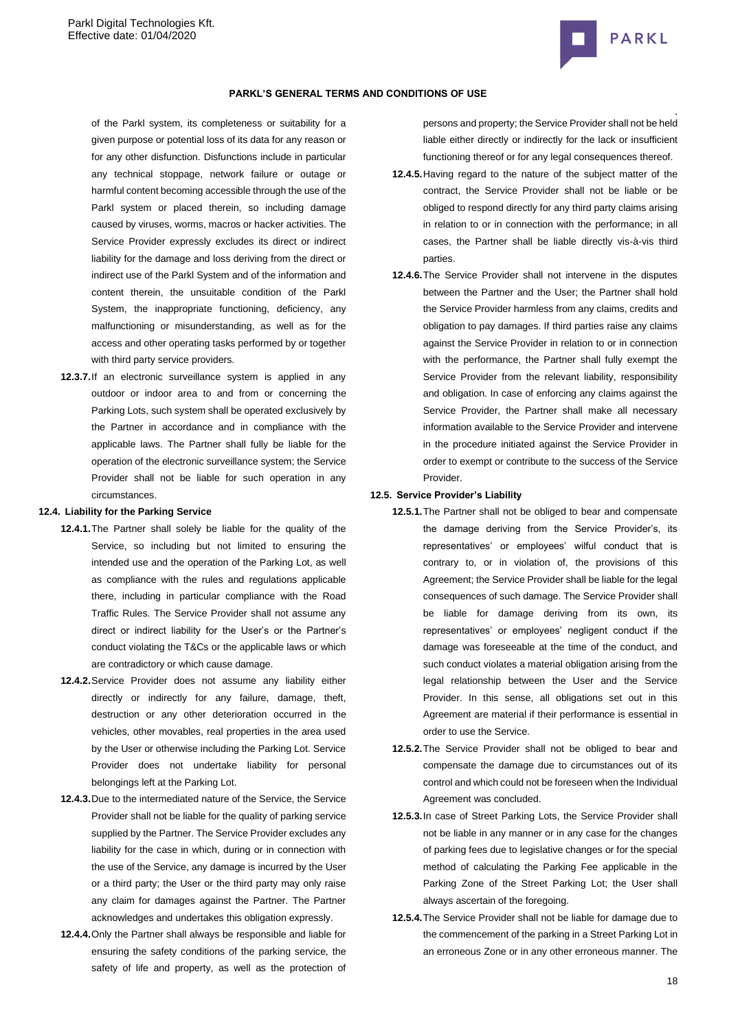

#### **PARKL'S GENERAL TERMS AND CONDITIONS OF USE**

of the Parkl system, its completeness or suitability for a given purpose or potential loss of its data for any reason or for any other disfunction. Disfunctions include in particular any technical stoppage, network failure or outage or harmful content becoming accessible through the use of the Parkl system or placed therein, so including damage caused by viruses, worms, macros or hacker activities. The Service Provider expressly excludes its direct or indirect liability for the damage and loss deriving from the direct or indirect use of the Parkl System and of the information and content therein, the unsuitable condition of the Parkl System, the inappropriate functioning, deficiency, any malfunctioning or misunderstanding, as well as for the access and other operating tasks performed by or together with third party service providers.

**12.3.7.**If an electronic surveillance system is applied in any outdoor or indoor area to and from or concerning the Parking Lots, such system shall be operated exclusively by the Partner in accordance and in compliance with the applicable laws. The Partner shall fully be liable for the operation of the electronic surveillance system; the Service Provider shall not be liable for such operation in any circumstances.

#### **12.4. Liability for the Parking Service**

- **12.4.1.**The Partner shall solely be liable for the quality of the Service, so including but not limited to ensuring the intended use and the operation of the Parking Lot, as well as compliance with the rules and regulations applicable there, including in particular compliance with the Road Traffic Rules. The Service Provider shall not assume any direct or indirect liability for the User's or the Partner's conduct violating the T&Cs or the applicable laws or which are contradictory or which cause damage.
- **12.4.2.**Service Provider does not assume any liability either directly or indirectly for any failure, damage, theft, destruction or any other deterioration occurred in the vehicles, other movables, real properties in the area used by the User or otherwise including the Parking Lot. Service Provider does not undertake liability for personal belongings left at the Parking Lot.
- **12.4.3.**Due to the intermediated nature of the Service, the Service Provider shall not be liable for the quality of parking service supplied by the Partner. The Service Provider excludes any liability for the case in which, during or in connection with the use of the Service, any damage is incurred by the User or a third party; the User or the third party may only raise any claim for damages against the Partner. The Partner acknowledges and undertakes this obligation expressly.
- **12.4.4.**Only the Partner shall always be responsible and liable for ensuring the safety conditions of the parking service, the safety of life and property, as well as the protection of

persons and property; the Service Provider shall not be held liable either directly or indirectly for the lack or insufficient functioning thereof or for any legal consequences thereof.

- **12.4.5.**Having regard to the nature of the subject matter of the contract, the Service Provider shall not be liable or be obliged to respond directly for any third party claims arising in relation to or in connection with the performance; in all cases, the Partner shall be liable directly vis-à-vis third parties.
- **12.4.6.**The Service Provider shall not intervene in the disputes between the Partner and the User; the Partner shall hold the Service Provider harmless from any claims, credits and obligation to pay damages. If third parties raise any claims against the Service Provider in relation to or in connection with the performance, the Partner shall fully exempt the Service Provider from the relevant liability, responsibility and obligation. In case of enforcing any claims against the Service Provider, the Partner shall make all necessary information available to the Service Provider and intervene in the procedure initiated against the Service Provider in order to exempt or contribute to the success of the Service Provider.

#### **12.5. Service Provider's Liability**

- **12.5.1.**The Partner shall not be obliged to bear and compensate the damage deriving from the Service Provider's, its representatives' or employees' wilful conduct that is contrary to, or in violation of, the provisions of this Agreement; the Service Provider shall be liable for the legal consequences of such damage. The Service Provider shall be liable for damage deriving from its own, its representatives' or employees' negligent conduct if the damage was foreseeable at the time of the conduct, and such conduct violates a material obligation arising from the legal relationship between the User and the Service Provider. In this sense, all obligations set out in this Agreement are material if their performance is essential in order to use the Service.
- **12.5.2.**The Service Provider shall not be obliged to bear and compensate the damage due to circumstances out of its control and which could not be foreseen when the Individual Agreement was concluded.
- **12.5.3.**In case of Street Parking Lots, the Service Provider shall not be liable in any manner or in any case for the changes of parking fees due to legislative changes or for the special method of calculating the Parking Fee applicable in the Parking Zone of the Street Parking Lot; the User shall always ascertain of the foregoing.
- **12.5.4.**The Service Provider shall not be liable for damage due to the commencement of the parking in a Street Parking Lot in an erroneous Zone or in any other erroneous manner. The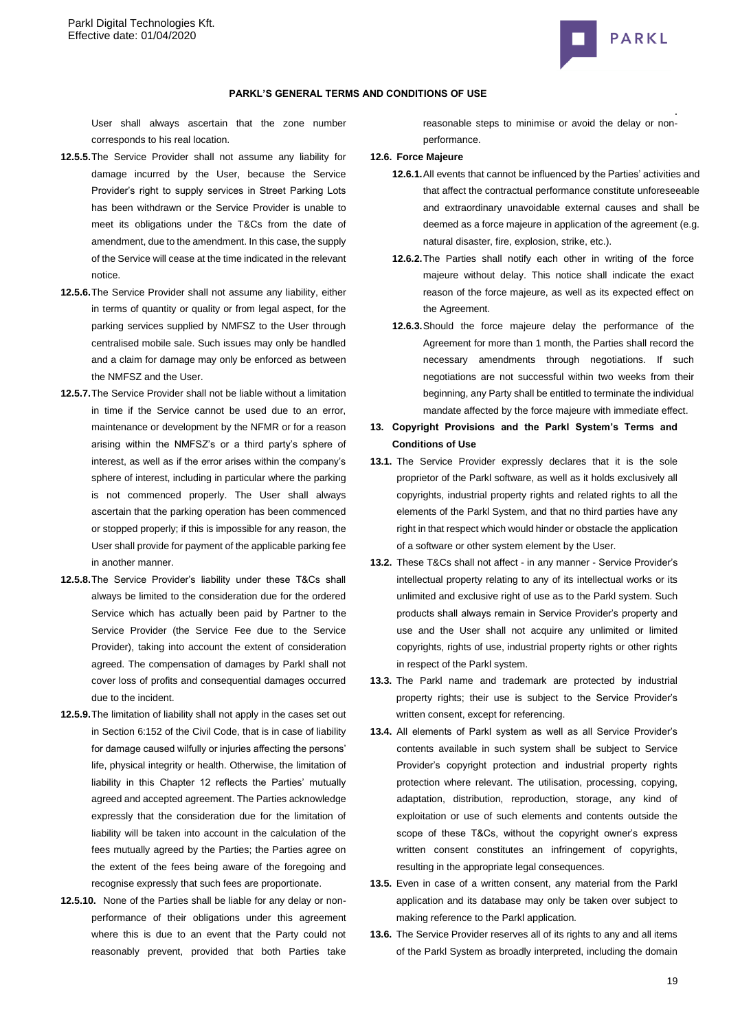

User shall always ascertain that the zone number corresponds to his real location.

- **12.5.5.**The Service Provider shall not assume any liability for damage incurred by the User, because the Service Provider's right to supply services in Street Parking Lots has been withdrawn or the Service Provider is unable to meet its obligations under the T&Cs from the date of amendment, due to the amendment. In this case, the supply of the Service will cease at the time indicated in the relevant notice.
- **12.5.6.**The Service Provider shall not assume any liability, either in terms of quantity or quality or from legal aspect, for the parking services supplied by NMFSZ to the User through centralised mobile sale. Such issues may only be handled and a claim for damage may only be enforced as between the NMFSZ and the User.
- **12.5.7.**The Service Provider shall not be liable without a limitation in time if the Service cannot be used due to an error, maintenance or development by the NFMR or for a reason arising within the NMFSZ's or a third party's sphere of interest, as well as if the error arises within the company's sphere of interest, including in particular where the parking is not commenced properly. The User shall always ascertain that the parking operation has been commenced or stopped properly; if this is impossible for any reason, the User shall provide for payment of the applicable parking fee in another manner.
- **12.5.8.**The Service Provider's liability under these T&Cs shall always be limited to the consideration due for the ordered Service which has actually been paid by Partner to the Service Provider (the Service Fee due to the Service Provider), taking into account the extent of consideration agreed. The compensation of damages by Parkl shall not cover loss of profits and consequential damages occurred due to the incident.
- **12.5.9.**The limitation of liability shall not apply in the cases set out in Section 6:152 of the Civil Code, that is in case of liability for damage caused wilfully or injuries affecting the persons' life, physical integrity or health. Otherwise, the limitation of liability in this Chapter 12 reflects the Parties' mutually agreed and accepted agreement. The Parties acknowledge expressly that the consideration due for the limitation of liability will be taken into account in the calculation of the fees mutually agreed by the Parties; the Parties agree on the extent of the fees being aware of the foregoing and recognise expressly that such fees are proportionate.
- **12.5.10.** None of the Parties shall be liable for any delay or nonperformance of their obligations under this agreement where this is due to an event that the Party could not reasonably prevent, provided that both Parties take

. reasonable steps to minimise or avoid the delay or nonperformance.

### **12.6. Force Majeure**

- **12.6.1.**All events that cannot be influenced by the Parties' activities and that affect the contractual performance constitute unforeseeable and extraordinary unavoidable external causes and shall be deemed as a force majeure in application of the agreement (e.g. natural disaster, fire, explosion, strike, etc.).
- **12.6.2.**The Parties shall notify each other in writing of the force majeure without delay. This notice shall indicate the exact reason of the force majeure, as well as its expected effect on the Agreement.
- **12.6.3.**Should the force majeure delay the performance of the Agreement for more than 1 month, the Parties shall record the necessary amendments through negotiations. If such negotiations are not successful within two weeks from their beginning, any Party shall be entitled to terminate the individual mandate affected by the force majeure with immediate effect.
- **13. Copyright Provisions and the Parkl System's Terms and Conditions of Use**
- **13.1.** The Service Provider expressly declares that it is the sole proprietor of the Parkl software, as well as it holds exclusively all copyrights, industrial property rights and related rights to all the elements of the Parkl System, and that no third parties have any right in that respect which would hinder or obstacle the application of a software or other system element by the User.
- **13.2.** These T&Cs shall not affect in any manner Service Provider's intellectual property relating to any of its intellectual works or its unlimited and exclusive right of use as to the Parkl system. Such products shall always remain in Service Provider's property and use and the User shall not acquire any unlimited or limited copyrights, rights of use, industrial property rights or other rights in respect of the Parkl system.
- **13.3.** The Parkl name and trademark are protected by industrial property rights; their use is subject to the Service Provider's written consent, except for referencing.
- **13.4.** All elements of Parkl system as well as all Service Provider's contents available in such system shall be subject to Service Provider's copyright protection and industrial property rights protection where relevant. The utilisation, processing, copying, adaptation, distribution, reproduction, storage, any kind of exploitation or use of such elements and contents outside the scope of these T&Cs, without the copyright owner's express written consent constitutes an infringement of copyrights, resulting in the appropriate legal consequences.
- **13.5.** Even in case of a written consent, any material from the Parkl application and its database may only be taken over subject to making reference to the Parkl application.
- **13.6.** The Service Provider reserves all of its rights to any and all items of the Parkl System as broadly interpreted, including the domain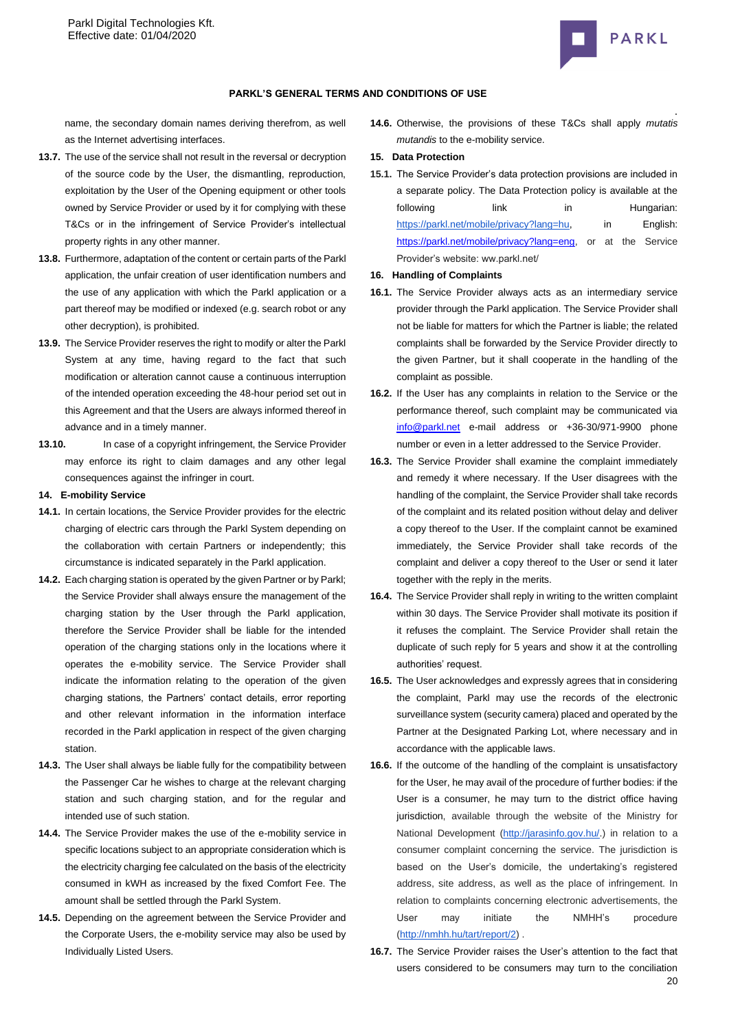

### **PARKL'S GENERAL TERMS AND CONDITIONS OF USE**

name, the secondary domain names deriving therefrom, as well as the Internet advertising interfaces.

- **13.7.** The use of the service shall not result in the reversal or decryption of the source code by the User, the dismantling, reproduction, exploitation by the User of the Opening equipment or other tools owned by Service Provider or used by it for complying with these T&Cs or in the infringement of Service Provider's intellectual property rights in any other manner.
- **13.8.** Furthermore, adaptation of the content or certain parts of the Parkl application, the unfair creation of user identification numbers and the use of any application with which the Parkl application or a part thereof may be modified or indexed (e.g. search robot or any other decryption), is prohibited.
- **13.9.** The Service Provider reserves the right to modify or alter the Parkl System at any time, having regard to the fact that such modification or alteration cannot cause a continuous interruption of the intended operation exceeding the 48-hour period set out in this Agreement and that the Users are always informed thereof in advance and in a timely manner.
- **13.10.** In case of a copyright infringement, the Service Provider may enforce its right to claim damages and any other legal consequences against the infringer in court.

### **14. E-mobility Service**

- **14.1.** In certain locations, the Service Provider provides for the electric charging of electric cars through the Parkl System depending on the collaboration with certain Partners or independently; this circumstance is indicated separately in the Parkl application.
- **14.2.** Each charging station is operated by the given Partner or by Parkl; the Service Provider shall always ensure the management of the charging station by the User through the Parkl application, therefore the Service Provider shall be liable for the intended operation of the charging stations only in the locations where it operates the e-mobility service. The Service Provider shall indicate the information relating to the operation of the given charging stations, the Partners' contact details, error reporting and other relevant information in the information interface recorded in the Parkl application in respect of the given charging station.
- **14.3.** The User shall always be liable fully for the compatibility between the Passenger Car he wishes to charge at the relevant charging station and such charging station, and for the regular and intended use of such station.
- **14.4.** The Service Provider makes the use of the e-mobility service in specific locations subject to an appropriate consideration which is the electricity charging fee calculated on the basis of the electricity consumed in kWH as increased by the fixed Comfort Fee. The amount shall be settled through the Parkl System.
- **14.5.** Depending on the agreement between the Service Provider and the Corporate Users, the e-mobility service may also be used by Individually Listed Users.

**14.6.** Otherwise, the provisions of these T&Cs shall apply *mutatis mutandis* to the e-mobility service.

#### **15. Data Protection**

**15.1.** The Service Provider's data protection provisions are included in a separate policy. The Data Protection policy is available at the following link in Hungarian: [https://parkl.net/mobile/privacy?lang=hu,](https://test.parkl.net/mobile/privacy?lang=eng) in English: [https://parkl.net/mobile/privacy?lang=eng,](https://parkl.net/mobile/privacy?lang=eng) or at the Service Provider's website: ww.parkl.net/

#### **16. Handling of Complaints**

- **16.1.** The Service Provider always acts as an intermediary service provider through the Parkl application. The Service Provider shall not be liable for matters for which the Partner is liable; the related complaints shall be forwarded by the Service Provider directly to the given Partner, but it shall cooperate in the handling of the complaint as possible.
- **16.2.** If the User has any complaints in relation to the Service or the performance thereof, such complaint may be communicated via [info@parkl.net](mailto:info@parkl.net) e-mail address or +36-30/971-9900 phone number or even in a letter addressed to the Service Provider.
- **16.3.** The Service Provider shall examine the complaint immediately and remedy it where necessary. If the User disagrees with the handling of the complaint, the Service Provider shall take records of the complaint and its related position without delay and deliver a copy thereof to the User. If the complaint cannot be examined immediately, the Service Provider shall take records of the complaint and deliver a copy thereof to the User or send it later together with the reply in the merits.
- **16.4.** The Service Provider shall reply in writing to the written complaint within 30 days. The Service Provider shall motivate its position if it refuses the complaint. The Service Provider shall retain the duplicate of such reply for 5 years and show it at the controlling authorities' request.
- **16.5.** The User acknowledges and expressly agrees that in considering the complaint, Parkl may use the records of the electronic surveillance system (security camera) placed and operated by the Partner at the Designated Parking Lot, where necessary and in accordance with the applicable laws.
- **16.6.** If the outcome of the handling of the complaint is unsatisfactory for the User, he may avail of the procedure of further bodies: if the User is a consumer, he may turn to the district office having jurisdiction, available through the website of the Ministry for National Development [\(http://jarasinfo.gov.hu/.](http://jarasinfo.gov.hu/)) in relation to a consumer complaint concerning the service. The jurisdiction is based on the User's domicile, the undertaking's registered address, site address, as well as the place of infringement. In relation to complaints concerning electronic advertisements, the User may initiate the NMHH's procedure [\(http://nmhh.hu/tart/report/2\)](http://nmhh.hu/tart/report/2) .
- 20 **16.7.** The Service Provider raises the User's attention to the fact that users considered to be consumers may turn to the conciliation